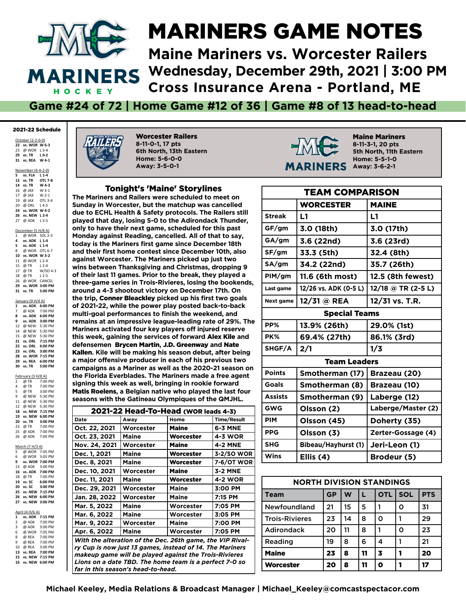

#### MARINERS GAME NOTES

**Maine Mariners vs. Worcester Railers Wednesday, December 29th, 2021 | 3:00 PM Cross Insurance Arena - Portland, ME**

**Game #24 of 72 | Home Game #12 of 36 | Game #8 of 13 head-to-head**

#### 2021-22 Schedule

October (2-2-0-0) **vs. WOR W 6-3** @ WOR L 3-4 **vs. TR L 0-2 vs. REA W 4-1**

November (4-4-2-0)

| 5  | vs. FLA L 1-4      |                    |
|----|--------------------|--------------------|
|    | 12 vs. TR  OTL 7-8 |                    |
|    | 14 vs. TR W 4-3    |                    |
|    | 16 @ JAX W 3-1     |                    |
|    | 17 @ JAX W 2-1     |                    |
|    | 19 @ JAX OTL 3-4   |                    |
|    | 20 @ ORL L4-5      |                    |
|    | 24 vs. WOR W 4-2   |                    |
| 26 | vs. NEW L2-4       |                    |
|    | 27 @ ADK L3-5      |                    |
|    | December (5 H/8 A) |                    |
|    | 1 @ WOR SOL 2-3    |                    |
|    | 4 vs. ADK L 1-4    |                    |
|    | 5 vs. ADK L 1-4    |                    |
|    | 8 @ WOR OTL 6-7    |                    |
|    | 10 vs. WOR W 3-2   |                    |
|    | 11 @ WOR L2-4      |                    |
|    | 15 @ TR L 2-4      |                    |
|    |                    | 17 @ TR W/SO 4-3   |
|    | 18 @ TR L 2-5      |                    |
|    | 26 @ WOR CANCEL    |                    |
|    |                    | 29 vs. WOR 3:00 PM |
| 31 |                    | vs. TR 5:00 PM     |
|    | January (9 H/4 A)  |                    |
|    |                    | 1 vs. ADK 6:00 PM  |
|    |                    | 7 @ ADK 7:00 PM    |
|    |                    | 8 vs. ADK 6:00 PM  |
|    |                    | 9 vs. ADK 3:00 PM  |
|    |                    | 12 @ NEW 5:30 PM   |
|    |                    | 14 @ NEW 5:30 PM   |
| 15 | @ NEW 5:30 PM      |                    |

 **vs. ORL 7:15 PM vs. ORL 6:00 PM vs. ORL 3:00 PM vs. WOR 7:15 PM vs. REA 6:00 PM 30** vs. TR

February (3 H/8 A)<br>2 @ TR 7:00<br>4 @ TR 7:00 2 @ TR 7:00 PM 4 @ TR 7:00 PM 5 @ TR 3:00 PM<br>9 @ NEW 5:30 PM @ NEW 5:30 PM<br>@ NFW 5:30 PM 11 @ NEW 12 @ NEW 5:30 PM **18 vs. NEW 7:15 PM 19 vs. NEW 6:00 PM 20 vs. TR 3:00 PM** 23 @ TR 7:00 PM<br>25 @ ADK 7:00 PM<br>26 @ ADK 7:00 PM 25 @ ADK 7:00 PM 26 @ ADK 7:00 PM

March (7 H/3 A)<br>5 @ WOR 7:

 $\overrightarrow{7}$ :05 PM 6 @ WOR 3:05 PM **9 9 ws. WOR 7:00 PM**<br>
@ ADK 3:00 PM  $13 \quad \textcircled{a}$  ADK **16 vs. ADK 7:00 PM** 18 @ TR 7:00 PM<br>19 vs. SC 6:00 PM **19 vs. SC 6:00 PM 20 vs. SC 3:00 PM 25 vs. NEW 7:15 PM 26 vs. NEW 6:00 PM 27 vs. NEW 3:00 PM** April (4 H/6 A) **1 vs. ADK 7:15 PM**<br>2 @ ADK 7:00 PM  $@$  ADK 3 @ ADK 3:00 PM 6 @ WOR 7:05 PM 8 @ REA 7:00 PM<br>9 @ REA 7:00 PM  $@$  REA 10 @ REA 3:00 PM<br>13 vs. REA 7:00 PM **13 vs. REA 7:00 PM 15 vs. NEW 7:15 PM 16 vs. NEW 6:00 PM**

II.E

Worcester Railers **8-11-0-1, 17 pts 6th North, 13th Eastern Home: 5-6-0-0 Away: 3-5-0-1**

#### Tonight's 'Maine' Storylines

**The Mariners and Railers were scheduled to meet on Sunday in Worcester, but the matchup was cancelled due to ECHL Health & Safety protocols. The Railers still played that day, losing 5-0 to the Adirondack Thunder, only to have their next game, scheduled for this past Monday against Reading, cancelled. All of that to say, today is the Mariners frst game since December 18th and their frst home contest since December 10th, also against Worcester. The Mariners picked up just two wins between Thanksgiving and Christmas, dropping 9 of their last 11 games. Prior to the break, they played a three-game series in Trois-Rivieres, losing the bookends, around a 4-3 shootout victory on December 17th. On the trip,** Conner Bleackley **picked up his frst two goals of 2021-22, while the power play posted back-to-back**  multi-goal performances to finish the weekend, and **remains at an impressive league-leading rate of 29%. The Mariners activated four key players off injured reserve this week, gaining the services of forward** Alex Kile **and defensemen** Brycen Martin**,** J.D. Greenway **and** Nate Kallen**. Kile will be making his season debut, after being a major offensive producer in each of his previous two campaigns as a Mariner as well as the 2020-21 season on the Florida Everblades. The Mariners made a free agent signing this week as well, bringing in rookie forward**  Matis Roelens**, a Belgian native who played the last four seasons with the Gatineau Olympiques of the QMJHL.**

| 2021-22 Head-To-Head (WOR leads 4-3) |                                                           |              |                    |  |  |  |
|--------------------------------------|-----------------------------------------------------------|--------------|--------------------|--|--|--|
| Date                                 | Awav                                                      | Home         | <b>Time/Result</b> |  |  |  |
| Oct. 22, 2021                        | Worcester                                                 | <b>Maine</b> | 6-3 MNE            |  |  |  |
| Oct. 23, 2021                        | Maine                                                     | Worcester    | 4-3 WOR            |  |  |  |
| Nov. 24, 2021                        | Worcester                                                 | <b>Maine</b> | <b>4-2 MNE</b>     |  |  |  |
| Dec. 1, 2021                         | Maine                                                     | Worcester    | 3-2/SO WOR         |  |  |  |
| Dec. 8, 2021                         | Maine                                                     | Worcester    | 7-6/OT WOR         |  |  |  |
| Dec. 10, 2021                        | Worcester                                                 | <b>Maine</b> | 3-2 MNE            |  |  |  |
| Dec. 11, 2021                        | <b>Maine</b>                                              | Worcester    | <b>4-2 WOR</b>     |  |  |  |
| Dec. 29, 2021                        | Worcester                                                 | Maine        | 3:00 PM            |  |  |  |
| Jan. 28, 2022                        | Worcester                                                 | Maine        | 7:15 PM            |  |  |  |
| Mar. 5, 2022                         | Maine                                                     | Worcester    | 7:05 PM            |  |  |  |
| Mar. 6, 2022                         | Maine                                                     | Worcester    | 3:05 PM            |  |  |  |
| Mar. 9, 2022                         | Worcester                                                 | Maine        | 7:00 PM            |  |  |  |
| Apr. 6, 2022                         | <b>Maine</b>                                              | Worcester    | 7:05 PM            |  |  |  |
|                                      | With the alteration of the Dec. 26th game, the VIP Rival- |              |                    |  |  |  |
|                                      | ry Cup is now just 13 games, instead of 14. The Mariners  |              |                    |  |  |  |
|                                      | makeup game will be played against the Trois-Rivieres     |              |                    |  |  |  |
|                                      | Lions on a date TBD. The home team is a perfect 7-0 so    |              |                    |  |  |  |
|                                      | far in this season's head-to-head.                        |              |                    |  |  |  |



Maine Mariners **8-11-3-1, 20 pts 5th North, 11th Eastern Home: 5-5-1-0 Away: 3-6-2-1**

|                | <b>TEAM COMPARISON</b> |                    |  |  |  |  |  |
|----------------|------------------------|--------------------|--|--|--|--|--|
|                | <b>WORCESTER</b>       | <b>MAINE</b>       |  |  |  |  |  |
| <b>Streak</b>  | L1                     | L1                 |  |  |  |  |  |
| GF/gm          | 3.0 (18th)             | 3.0 (17th)         |  |  |  |  |  |
| GA/gm          | 3.6 (22nd)             | 3.6 (23rd)         |  |  |  |  |  |
| SF/gm          | 33.3 (5th)             | 32.4 (8th)         |  |  |  |  |  |
| SA/gm          | 34.2 (22nd)            | 35.7 (26th)        |  |  |  |  |  |
| PIM/gm         | 11.6 (6th most)        | 12.5 (8th fewest)  |  |  |  |  |  |
| Last game      | 12/26 vs. ADK (0-5 L)  | 12/18 @ TR (2-5 L) |  |  |  |  |  |
| Next game      | 12/31 @ REA            | 12/31 vs. T.R.     |  |  |  |  |  |
|                | <b>Special Teams</b>   |                    |  |  |  |  |  |
| PP%            | 13.9% (26th)           | 29.0% (1st)        |  |  |  |  |  |
| PK%            | 69.4% (27th)           | 86.1% (3rd)        |  |  |  |  |  |
| SHGF/A         | 2/1                    | 1/3                |  |  |  |  |  |
|                | <b>Team Leaders</b>    |                    |  |  |  |  |  |
| <b>Points</b>  | Smotherman (17)        | Brazeau (20)       |  |  |  |  |  |
| Goals          | Smotherman (8)         | Brazeau (10)       |  |  |  |  |  |
| <b>Assists</b> | Smotherman (9)         | Laberge (12)       |  |  |  |  |  |
| <b>GWG</b>     | Olsson (2)             | Laberge/Master (2) |  |  |  |  |  |
| <b>PIM</b>     | Olsson (45)            | Doherty (35)       |  |  |  |  |  |
| <b>PPG</b>     | Olsson (3)             | Zerter-Gossage (4) |  |  |  |  |  |
| <b>SHG</b>     | Bibeau/Hayhurst (1)    | Jeri-Leon (1)      |  |  |  |  |  |
| <b>Wins</b>    | Ellis (4)              | Brodeur (5)        |  |  |  |  |  |

| <b>NORTH DIVISION STANDINGS</b> |           |    |    |            |            |            |  |  |  |
|---------------------------------|-----------|----|----|------------|------------|------------|--|--|--|
| <b>Team</b>                     | <b>GP</b> | W  |    | <b>OTL</b> | <b>SOL</b> | <b>PTS</b> |  |  |  |
| <b>Newfoundland</b>             | 21        | 15 | 5  | 1          | ი          | 31         |  |  |  |
| <b>Trois-Rivieres</b>           | 23        | 14 | 8  | ი          |            | 29         |  |  |  |
| <b>Adirondack</b>               | 20        | 11 | 8  | 1          | ი          | 23         |  |  |  |
| Reading                         | 19        | 8  | 6  | 4          |            | 21         |  |  |  |
| <b>Maine</b>                    | 23        | 8  | 11 | 3          |            | 20         |  |  |  |
| Worcester                       | 20        | 8  | 11 | Ω          |            | 17         |  |  |  |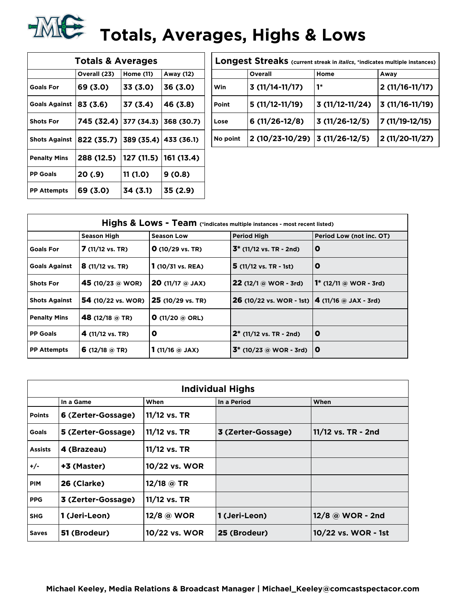# **TALE:** Totals, Averages, Highs & Lows

| <b>Totals &amp; Averages</b> |              |            |            |  |  |  |  |  |  |
|------------------------------|--------------|------------|------------|--|--|--|--|--|--|
|                              | Overall (23) | Home (11)  | Away (12)  |  |  |  |  |  |  |
| <b>Goals For</b>             | 69 (3.0)     | 33 (3.0)   | 36 (3.0)   |  |  |  |  |  |  |
| <b>Goals Against</b>         | 83 (3.6)     | 37 (3.4)   | 46 (3.8)   |  |  |  |  |  |  |
| <b>Shots For</b>             | 745 (32.4)   | 377 (34.3) | 368 (30.7) |  |  |  |  |  |  |
| <b>Shots Against</b>         | 822 (35.7)   | 389(35.4)  | 433 (36.1) |  |  |  |  |  |  |
| <b>Penalty Mins</b>          | 288 (12.5)   | 127 (11.5) | 161 (13.4) |  |  |  |  |  |  |
| <b>PP Goals</b>              | 20 (.9)      | 11 (1.0)   | 9(0.8)     |  |  |  |  |  |  |
| <b>PP Attempts</b>           | 69 (3.0)     | 34 (3.1)   | 35 (2.9)   |  |  |  |  |  |  |

| Longest Streaks (current streak in <i>italics</i> , *indicates multiple instances) |                                |                  |                    |  |  |  |  |
|------------------------------------------------------------------------------------|--------------------------------|------------------|--------------------|--|--|--|--|
|                                                                                    | Overall                        | Home             | Away               |  |  |  |  |
| Win                                                                                | $3(11/14-11/17)$               | 1*               | $2(11/16-11/17)$   |  |  |  |  |
| Point                                                                              | $5(11/12-11/19)$               | $3(11/12-11/24)$ | $ 3(11/16-11/19) $ |  |  |  |  |
| Lose                                                                               | $6(11/26-12/8)$                | $3(11/26-12/5)$  | 7 (11/19-12/15)    |  |  |  |  |
| No point                                                                           | 2 (10/23-10/29) 3 (11/26-12/5) |                  | 2 (11/20-11/27)    |  |  |  |  |

|                      | Highs & Lows - Team (*indicates multiple instances - most recent listed) |                             |                                                           |                           |  |  |  |  |
|----------------------|--------------------------------------------------------------------------|-----------------------------|-----------------------------------------------------------|---------------------------|--|--|--|--|
|                      | <b>Season High</b>                                                       | <b>Season Low</b>           | <b>Period High</b>                                        | Period Low (not inc. OT)  |  |  |  |  |
| <b>Goals For</b>     | $7(11/12 \text{ vs. TR})$                                                | $O(10/29 \text{ vs. TR})$   | $3^*$ (11/12 vs. TR - 2nd)                                | $\mathbf 0$               |  |  |  |  |
| <b>Goals Against</b> | $8(11/12 \text{ vs. TR})$                                                | $1(10/31 \text{ vs. } REA)$ | $5(11/12 \text{ vs. TR } -1st)$                           | o                         |  |  |  |  |
| <b>Shots For</b>     | 45 (10/23 @ WOR)                                                         | <b>20</b> (11/17 $@$ JAX)   | $22(12/1@WOR - 3rd)$                                      | 1* $(12/11)$ @ WOR - 3rd) |  |  |  |  |
| <b>Shots Against</b> | <b>54</b> (10/22 vs. WOR)                                                | 25 (10/29 vs. TR)           | <b>26</b> (10/22 vs. WOR - 1st) $ 4 (11/16)$ a JAX - 3rd) |                           |  |  |  |  |
| <b>Penalty Mins</b>  | 48 (12/18 $@$ TR)                                                        | <b>O</b> (11/20 $@$ ORL)    |                                                           |                           |  |  |  |  |
| <b>PP Goals</b>      | 4 $(11/12 \text{ vs. TR})$                                               | O                           | $2^*$ (11/12 vs. TR - 2nd)                                | $\mathbf 0$               |  |  |  |  |
| <b>PP Attempts</b>   | 6 (12/18 $@$ TR)                                                         | 1 (11/16 $\circ$ JAX)       | $3^*$ (10/23 @ WOR - 3rd)                                 | $\mathbf o$               |  |  |  |  |

|                | <b>Individual Highs</b> |               |                    |                     |  |  |  |  |  |
|----------------|-------------------------|---------------|--------------------|---------------------|--|--|--|--|--|
|                | In a Game               | When          | In a Period        | When                |  |  |  |  |  |
| <b>Points</b>  | 6 (Zerter-Gossage)      | 11/12 vs. TR  |                    |                     |  |  |  |  |  |
| <b>Goals</b>   | 5 (Zerter-Gossage)      | 11/12 vs. TR  | 3 (Zerter-Gossage) | 11/12 vs. TR - 2nd  |  |  |  |  |  |
| <b>Assists</b> | 4 (Brazeau)             | 11/12 vs. TR  |                    |                     |  |  |  |  |  |
| $+/-$          | +3 (Master)             | 10/22 vs. WOR |                    |                     |  |  |  |  |  |
| <b>PIM</b>     | 26 (Clarke)             | 12/18 $@$ TR  |                    |                     |  |  |  |  |  |
| <b>PPG</b>     | 3 (Zerter-Gossage)      | 11/12 vs. TR  |                    |                     |  |  |  |  |  |
| <b>SHG</b>     | 1 (Jeri-Leon)           | 12/8 @ WOR    | 1 (Jeri-Leon)      | $12/8$ @ WOR - 2nd  |  |  |  |  |  |
| <b>Saves</b>   | 51 (Brodeur)            | 10/22 vs. WOR | 25 (Brodeur)       | 10/22 vs. WOR - 1st |  |  |  |  |  |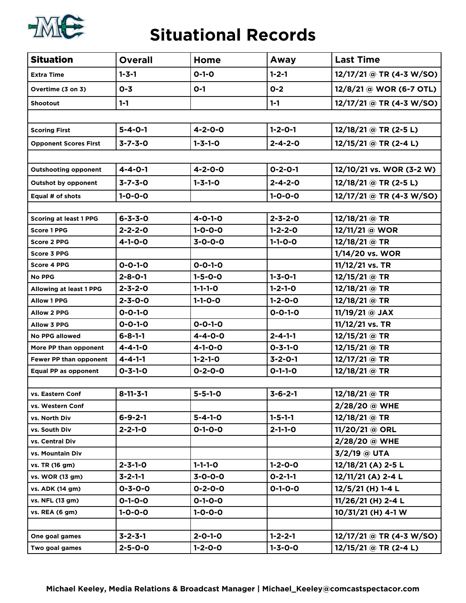

#### **Situational Records**

| <b>Situation</b>              | <b>Overall</b>   | Home            | Away            | <b>Last Time</b>           |
|-------------------------------|------------------|-----------------|-----------------|----------------------------|
| <b>Extra Time</b>             | $1 - 3 - 1$      | $O-1-O$         | $1 - 2 - 1$     | 12/17/21 @ TR (4-3 W/SO)   |
| Overtime (3 on 3)             | $0 - 3$          | $O-1$           | $0 - 2$         | 12/8/21 @ WOR (6-7 OTL)    |
| <b>Shootout</b>               | $1 - 1$          |                 | $1 - 1$         | $12/17/21 @ TR (4-3 W/SO)$ |
|                               |                  |                 |                 |                            |
| <b>Scoring First</b>          | $5 - 4 - 0 - 1$  | $4 - 2 - 0 - 0$ | $1 - 2 - 0 - 1$ | $12/18/21$ @ TR (2-5 L)    |
| <b>Opponent Scores First</b>  | $3 - 7 - 3 - 0$  | $1 - 3 - 1 - 0$ | $2 - 4 - 2 - 0$ | $12/15/21$ @ TR (2-4 L)    |
|                               |                  |                 |                 |                            |
| <b>Outshooting opponent</b>   | $4 - 4 - 0 - 1$  | $4 - 2 - 0 - 0$ | $0 - 2 - 0 - 1$ | 12/10/21 vs. WOR (3-2 W)   |
| <b>Outshot by opponent</b>    | $3 - 7 - 3 - 0$  | $1 - 3 - 1 - 0$ | $2 - 4 - 2 - 0$ | 12/18/21 @ TR (2-5 L)      |
| Equal # of shots              | $1 - 0 - 0 - 0$  |                 | $1 - 0 - 0 - 0$ | 12/17/21 @ TR (4-3 W/SO)   |
|                               |                  |                 |                 |                            |
| <b>Scoring at least 1 PPG</b> | $6 - 3 - 3 - 0$  | $4 - 0 - 1 - 0$ | $2 - 3 - 2 - 0$ | 12/18/21 @ TR              |
| <b>Score 1 PPG</b>            | $2 - 2 - 2 - 0$  | $1 - 0 - 0 - 0$ | $1 - 2 - 2 - 0$ | 12/11/21 @ WOR             |
| <b>Score 2 PPG</b>            | $4 - 1 - 0 - 0$  | $3 - 0 - 0 - 0$ | $1 - 1 - 0 - 0$ | $12/18/21$ @ TR            |
| <b>Score 3 PPG</b>            |                  |                 |                 | 1/14/20 vs. WOR            |
| <b>Score 4 PPG</b>            | $0 - 0 - 1 - 0$  | $0 - 0 - 1 - 0$ |                 | 11/12/21 vs. TR            |
| <b>No PPG</b>                 | $2 - 8 - 0 - 1$  | $1 - 5 - 0 - 0$ | $1 - 3 - 0 - 1$ | $12/15/21$ @ TR            |
| Allowing at least 1 PPG       | $2 - 3 - 2 - 0$  | $1 - 1 - 1 - 0$ | $1 - 2 - 1 - 0$ | 12/18/21 @ TR              |
| <b>Allow 1 PPG</b>            | $2 - 3 - 0 - 0$  | $1 - 1 - 0 - 0$ | $1 - 2 - 0 - 0$ | 12/18/21 @ TR              |
| <b>Allow 2 PPG</b>            | $0 - 0 - 1 - 0$  |                 | $0 - 0 - 1 - 0$ | 11/19/21 @ JAX             |
| <b>Allow 3 PPG</b>            | $0 - 0 - 1 - 0$  | $0 - 0 - 1 - 0$ |                 | 11/12/21 vs. TR            |
| No PPG allowed                | $6 - 8 - 1 - 1$  | $4 - 4 - 0 - 0$ | $2 - 4 - 1 - 1$ | 12/15/21 @ TR              |
| More PP than opponent         | $4 - 4 - 1 - 0$  | $4 - 1 - 0 - 0$ | $0 - 3 - 1 - 0$ | 12/15/21 @ TR              |
| Fewer PP than opponent        | $4 - 4 - 1 - 1$  | $1 - 2 - 1 - 0$ | $3 - 2 - 0 - 1$ | 12/17/21 @ TR              |
| Equal PP as opponent          | $0 - 3 - 1 - 0$  | $0 - 2 - 0 - 0$ | $0 - 1 - 1 - 0$ | 12/18/21 @ TR              |
|                               |                  |                 |                 |                            |
| vs. Eastern Conf              | $8 - 11 - 3 - 1$ | $5 - 5 - 1 - 0$ | $3 - 6 - 2 - 1$ | 12/18/21 @ TR              |
| vs. Western Conf              |                  |                 |                 | 2/28/20 @ WHE              |
| vs. North Div                 | $6 - 9 - 2 - 1$  | $5 - 4 - 1 - 0$ | $1 - 5 - 1 - 1$ | 12/18/21 @ TR              |
| vs. South Div                 | $2 - 2 - 1 - 0$  | $0 - 1 - 0 - 0$ | $2 - 1 - 1 - 0$ | 11/20/21 @ ORL             |
| vs. Central Div               |                  |                 |                 | 2/28/20 @ WHE              |
| vs. Mountain Div              |                  |                 |                 | 3/2/19 @ UTA               |
| vs. TR (16 gm)                | $2 - 3 - 1 - 0$  | $1 - 1 - 1 - 0$ | $1 - 2 - 0 - 0$ | 12/18/21 (A) 2-5 L         |
| vs. WOR (13 gm)               | $3 - 2 - 1 - 1$  | $3 - 0 - 0 - 0$ | $0 - 2 - 1 - 1$ | 12/11/21 (A) 2-4 L         |
| vs. ADK (14 gm)               | $0 - 3 - 0 - 0$  | $0 - 2 - 0 - 0$ | $0 - 1 - 0 - 0$ | 12/5/21 (H) 1-4 L          |
| vs. NFL (13 gm)               | $0 - 1 - 0 - 0$  | $0 - 1 - 0 - 0$ |                 | 11/26/21 (H) 2-4 L         |
| vs. REA (6 gm)                | $1 - 0 - 0 - 0$  | $1 - 0 - 0 - 0$ |                 | 10/31/21 (H) 4-1 W         |
|                               |                  |                 |                 |                            |
| One goal games                | $3 - 2 - 3 - 1$  | $2 - 0 - 1 - 0$ | $1 - 2 - 2 - 1$ | 12/17/21 @ TR (4-3 W/SO)   |
| Two goal games                | $2 - 5 - 0 - 0$  | $1 - 2 - 0 - 0$ | $1 - 3 - 0 - 0$ | 12/15/21 @ TR (2-4 L)      |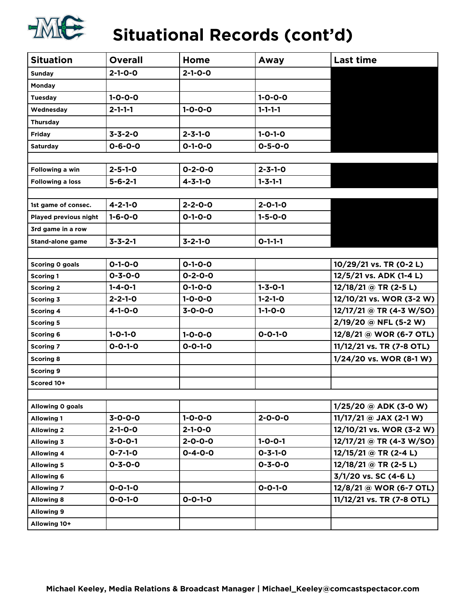

## **Situational Records (cont'd)**

| <b>Situation</b>        | <b>Overall</b>  | Home            | Away            | <b>Last time</b>          |
|-------------------------|-----------------|-----------------|-----------------|---------------------------|
| Sunday                  | $2 - 1 - 0 - 0$ | $2 - 1 - 0 - 0$ |                 |                           |
| Monday                  |                 |                 |                 |                           |
| <b>Tuesday</b>          | $1 - 0 - 0 - 0$ |                 | $1 - 0 - 0 - 0$ |                           |
| Wednesday               | $2 - 1 - 1 - 1$ | $1 - 0 - 0 - 0$ | $1 - 1 - 1 - 1$ |                           |
| <b>Thursday</b>         |                 |                 |                 |                           |
| <b>Friday</b>           | $3 - 3 - 2 - 0$ | $2 - 3 - 1 - 0$ | $1 - 0 - 1 - 0$ |                           |
| Saturday                | $0 - 6 - 0 - 0$ | $0 - 1 - 0 - 0$ | $0 - 5 - 0 - 0$ |                           |
|                         |                 |                 |                 |                           |
| Following a win         | $2 - 5 - 1 - 0$ | $0 - 2 - 0 - 0$ | $2 - 3 - 1 - 0$ |                           |
| <b>Following a loss</b> | $5 - 6 - 2 - 1$ | $4 - 3 - 1 - 0$ | $1 - 3 - 1 - 1$ |                           |
|                         |                 |                 |                 |                           |
| 1st game of consec.     | $4 - 2 - 1 - 0$ | $2 - 2 - 0 - 0$ | $2 - 0 - 1 - 0$ |                           |
| Played previous night   | $1 - 6 - 0 - 0$ | $0 - 1 - 0 - 0$ | $1 - 5 - 0 - 0$ |                           |
| 3rd game in a row       |                 |                 |                 |                           |
| <b>Stand-alone game</b> | $3 - 3 - 2 - 1$ | $3 - 2 - 1 - 0$ | $0 - 1 - 1 - 1$ |                           |
|                         |                 |                 |                 |                           |
| <b>Scoring 0 goals</b>  | $0 - 1 - 0 - 0$ | $0 - 1 - 0 - 0$ |                 | 10/29/21 vs. TR (0-2 L)   |
| <b>Scoring 1</b>        | $0 - 3 - 0 - 0$ | $0 - 2 - 0 - 0$ |                 | 12/5/21 vs. ADK (1-4 L)   |
| <b>Scoring 2</b>        | $1 - 4 - 0 - 1$ | $0 - 1 - 0 - 0$ | $1 - 3 - 0 - 1$ | $12/18/21$ @ TR (2-5 L)   |
| <b>Scoring 3</b>        | $2 - 2 - 1 - 0$ | $1 - 0 - 0 - 0$ | $1 - 2 - 1 - 0$ | 12/10/21 vs. WOR (3-2 W)  |
| <b>Scoring 4</b>        | $4 - 1 - 0 - 0$ | $3 - 0 - 0 - 0$ | $1 - 1 - 0 - 0$ | 12/17/21 @ TR (4-3 W/SO)  |
| <b>Scoring 5</b>        |                 |                 |                 | 2/19/20 @ NFL (5-2 W)     |
| <b>Scoring 6</b>        | $1 - 0 - 1 - 0$ | $1 - 0 - 0 - 0$ | $0 - 0 - 1 - 0$ | 12/8/21 @ WOR (6-7 OTL)   |
| <b>Scoring 7</b>        | $0 - 0 - 1 - 0$ | $0 - 0 - 1 - 0$ |                 | 11/12/21 vs. TR (7-8 OTL) |
| <b>Scoring 8</b>        |                 |                 |                 | 1/24/20 vs. WOR (8-1 W)   |
| <b>Scoring 9</b>        |                 |                 |                 |                           |
| Scored 10+              |                 |                 |                 |                           |
|                         |                 |                 |                 |                           |
| Allowing 0 goals        |                 |                 |                 | $1/25/20$ @ ADK (3-0 W)   |
| <b>Allowing 1</b>       | $3 - 0 - 0 - 0$ | $1 - 0 - 0 - 0$ | $2 - 0 - 0 - 0$ | $11/17/21$ @ JAX (2-1 W)  |
| <b>Allowing 2</b>       | $2 - 1 - 0 - 0$ | $2 - 1 - 0 - 0$ |                 | 12/10/21 vs. WOR (3-2 W)  |
| <b>Allowing 3</b>       | $3 - 0 - 0 - 1$ | $2 - 0 - 0 - 0$ | $1 - 0 - 0 - 1$ | 12/17/21 @ TR (4-3 W/SO)  |
| <b>Allowing 4</b>       | $0 - 7 - 1 - 0$ | $0 - 4 - 0 - 0$ | $0 - 3 - 1 - 0$ | 12/15/21 @ TR (2-4 L)     |
| <b>Allowing 5</b>       | $0 - 3 - 0 - 0$ |                 | $0 - 3 - 0 - 0$ | $12/18/21$ @ TR (2-5 L)   |
| <b>Allowing 6</b>       |                 |                 |                 | 3/1/20 vs. SC (4-6 L)     |
| <b>Allowing 7</b>       | $0 - 0 - 1 - 0$ |                 | $0 - 0 - 1 - 0$ | 12/8/21 @ WOR (6-7 OTL)   |
| <b>Allowing 8</b>       | $0 - 0 - 1 - 0$ | $0 - 0 - 1 - 0$ |                 | 11/12/21 vs. TR (7-8 OTL) |
| <b>Allowing 9</b>       |                 |                 |                 |                           |
| Allowing 10+            |                 |                 |                 |                           |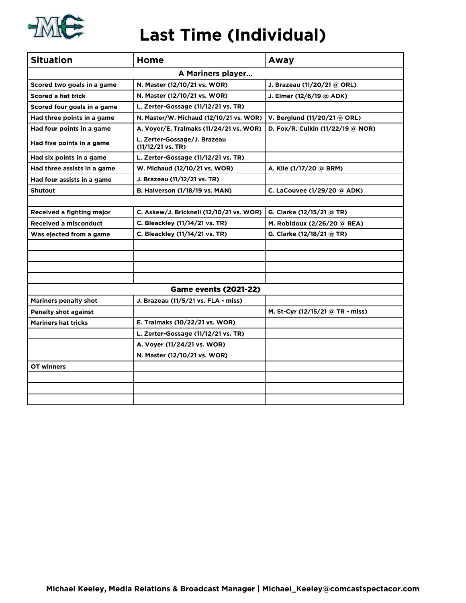

#### **Last Time (Individual)**

| <b>Situation</b>             | Home                                              | Away                              |  |  |  |  |  |  |  |  |
|------------------------------|---------------------------------------------------|-----------------------------------|--|--|--|--|--|--|--|--|
|                              | A Mariners player                                 |                                   |  |  |  |  |  |  |  |  |
| Scored two goals in a game   | N. Master (12/10/21 vs. WOR)                      | J. Brazeau (11/20/21 @ ORL)       |  |  |  |  |  |  |  |  |
| <b>Scored a hat trick</b>    | N. Master (12/10/21 vs. WOR)                      | J. Elmer (12/6/19 @ ADK)          |  |  |  |  |  |  |  |  |
| Scored four goals in a game  | L. Zerter-Gossage (11/12/21 vs. TR)               |                                   |  |  |  |  |  |  |  |  |
| Had three points in a game   | N. Master/W. Michaud (12/10/21 vs. WOR)           | V. Berglund (11/20/21 @ ORL)      |  |  |  |  |  |  |  |  |
| Had four points in a game    | A. Voyer/E. Tralmaks (11/24/21 vs. WOR)           | D. Fox/R. Culkin (11/22/19 @ NOR) |  |  |  |  |  |  |  |  |
| Had five points in a game    | L. Zerter-Gossage/J. Brazeau<br>(11/12/21 vs. TR) |                                   |  |  |  |  |  |  |  |  |
| Had six points in a game     | L. Zerter-Gossage (11/12/21 vs. TR)               |                                   |  |  |  |  |  |  |  |  |
| Had three assists in a game  | W. Michaud (12/10/21 vs. WOR)                     | A. Kile (1/17/20 @ BRM)           |  |  |  |  |  |  |  |  |
| Had four assists in a game   | J. Brazeau (11/12/21 vs. TR)                      |                                   |  |  |  |  |  |  |  |  |
| <b>Shutout</b>               | B. Halverson (1/18/19 vs. MAN)                    | C. LaCouvee (1/29/20 @ ADK)       |  |  |  |  |  |  |  |  |
|                              |                                                   |                                   |  |  |  |  |  |  |  |  |
| Received a fighting major    | C. Askew/J. Bricknell (12/10/21 vs. WOR)          | G. Clarke (12/15/21 @ TR)         |  |  |  |  |  |  |  |  |
| <b>Received a misconduct</b> | C. Bleackley (11/14/21 vs. TR)                    | M. Robidoux (2/26/20 @ REA)       |  |  |  |  |  |  |  |  |
| Was ejected from a game      | C. Bleackley (11/14/21 vs. TR)                    | G. Clarke (12/18/21 @ TR)         |  |  |  |  |  |  |  |  |
|                              |                                                   |                                   |  |  |  |  |  |  |  |  |
|                              |                                                   |                                   |  |  |  |  |  |  |  |  |
|                              |                                                   |                                   |  |  |  |  |  |  |  |  |
|                              |                                                   |                                   |  |  |  |  |  |  |  |  |
|                              | <b>Game events (2021-22)</b>                      |                                   |  |  |  |  |  |  |  |  |
| <b>Mariners penalty shot</b> | J. Brazeau (11/5/21 vs. FLA - miss)               |                                   |  |  |  |  |  |  |  |  |
| <b>Penalty shot against</b>  |                                                   | M. St-Cyr (12/15/21 @ TR - miss)  |  |  |  |  |  |  |  |  |
| <b>Mariners hat tricks</b>   | E. Tralmaks (10/22/21 vs. WOR)                    |                                   |  |  |  |  |  |  |  |  |
|                              | L. Zerter-Gossage (11/12/21 vs. TR)               |                                   |  |  |  |  |  |  |  |  |
|                              | A. Voyer (11/24/21 vs. WOR)                       |                                   |  |  |  |  |  |  |  |  |
|                              | N. Master (12/10/21 vs. WOR)                      |                                   |  |  |  |  |  |  |  |  |
| OT winners                   |                                                   |                                   |  |  |  |  |  |  |  |  |
|                              |                                                   |                                   |  |  |  |  |  |  |  |  |
|                              |                                                   |                                   |  |  |  |  |  |  |  |  |
|                              |                                                   |                                   |  |  |  |  |  |  |  |  |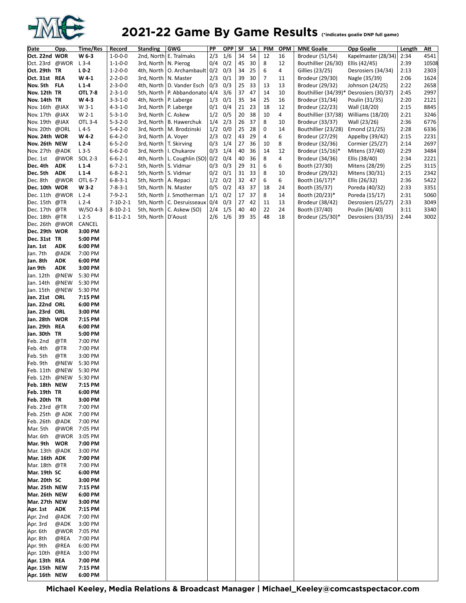

### 2021-22 Game By Game Results *Cindicates goalie DNP full game*

| <b>Date</b>     | Opp.       | Time/Res | Record           | <b>Standing</b>          | <b>GWG</b>                              | PP        | OPP        | SF | SΑ | <b>PIM</b>     | <b>OPM</b> | <b>MNE Goalie</b>                       | <b>Opp Goalie</b>                     | Length       | Att   |
|-----------------|------------|----------|------------------|--------------------------|-----------------------------------------|-----------|------------|----|----|----------------|------------|-----------------------------------------|---------------------------------------|--------------|-------|
| Oct. 22nd WOR   |            | W 6-3    | $1 - 0 - 0 - 0$  |                          | 2nd, North E. Tralmaks                  | 2/3       | 1/6        | 34 | 54 | 12             | 16         | Brodeur (51/54)                         | Kapelmaster (28/34)                   | 2:34         | 4541  |
| Oct. 23rd @WOR  |            | $L$ 3-4  | $1 - 1 - 0 - 0$  | 3rd, North   N. Pierog   |                                         | 0/4       | 0/2        | 45 | 30 | 8              | 12         | Bouthillier (26/30)                     | Ellis (42/45)                         | 2:39         | 10508 |
| Oct. 29th TR    |            | $L0-2$   | $1 - 2 - 0 - 0$  |                          | 4th, North   O. Archambault   0/2       |           | 0/3        | 34 | 25 | 6              | 4          | Gillies (23/25)                         | Desrosiers (34/34)                    | 2:13         | 2303  |
| Oct. 31st REA   |            | W4-1     | $2 - 2 - 0 - 0$  | 3rd, North   N. Master   |                                         | 2/3       | 0/1        | 39 | 30 | $\overline{7}$ | 11         | Brodeur (29/30)                         | Nagle (35/39)                         | 2:06         | 1624  |
| Nov. 5th FLA    |            | $L1-4$   | $2 - 3 - 0 - 0$  |                          | 4th, North   D. Vander Esch             | 0/3       |            | 25 | 33 | 13             | 13         | Brodeur (29/32)                         |                                       | 2:22         | 2658  |
| Nov. 12th TR    |            | OTL 7-8  | $2 - 3 - 1 - 0$  |                          | 5th, North   P. Abbandonato 4/4         |           | 0/3<br>3/6 | 37 | 47 | 14             | 10         |                                         | Johnson (24/25)<br>Desrosiers (30/37) |              | 2997  |
| Nov. 14th TR    |            | W43      | $3 - 3 - 1 - 0$  | 4th, North   P. Laberge  |                                         | 1/3       | 0/1        | 35 | 34 | 25             | 16         | Bouthillier (34/39)*<br>Brodeur (31/34) |                                       | 2:45<br>2:20 | 2121  |
| Nov. 16th @JAX  |            | W 3-1    | $4 - 3 - 1 - 0$  | 3rd, North   P. Laberge  |                                         | $0/1$ 0/4 |            | 21 | 23 | 18             | 12         |                                         | Poulin (31/35)                        | 2:15         | 8845  |
| Nov. 17th @JAX  |            | W 2-1    | $5 - 3 - 1 - 0$  | 3rd, North   C. Askew    |                                         |           | $1/2$ 0/5  | 20 | 38 | 10             | 4          | Brodeur (22/23)<br>Bouthillier (37/38)  | Wall (18/20)<br>Williams (18/20)      | 2:21         | 3246  |
| Nov. 19th @JAX  |            | OTL 3-4  | $5 - 3 - 2 - 0$  |                          | 3rd, North   B. Hawerchuk               | 1/4       | 2/3        | 26 | 37 | 8              | 10         | Brodeur (33/37)                         | Wall (23/26)                          | 2:36         | 6776  |
| Nov. 20th @ORL  |            | $L4-5$   | $5 - 4 - 2 - 0$  |                          | 3rd, North   M. Brodzinski              |           | $1/2$ 0/0  | 25 | 28 | 0              | 14         | Bouthillier (23/28)                     | Emond (21/25)                         | 2:28         | 6336  |
| Nov. 24th WOR   |            | W 4-2    | $6 - 4 - 2 - 0$  | 3rd, North   A. Voyer    |                                         | 2/3       | 0/2        | 43 | 29 | 4              | 6          | Brodeur (27/29)                         | Appelby (39/42)                       | 2:15         | 2231  |
| Nov. 26th NEW   |            | $L2-4$   | $6 - 5 - 2 - 0$  | 3rd, North   T. Skirving |                                         | 0/3       | 1/4        | 27 | 36 | 10             | 8          | Brodeur (32/36)                         | Cormier (25/27)                       | 2:14         | 2697  |
| Nov. 27th @ADK  |            | $L$ 3-5  | $6 - 6 - 2 - 0$  |                          | 3rd, North   I. Chukarov                | 0/3       | 1/4        | 40 | 36 | 14             | 12         | Brodeur (15/16)*                        | Mitens (37/40)                        | 2:29         | 3484  |
| Dec. 1st        | @WOR       | SOL 2-3  | $6 - 6 - 2 - 1$  |                          | 4th, North   L. Coughlin $(SO)$ 0/2 0/4 |           |            | 40 | 36 | 8              | 4          | Brodeur (34/36)                         | Ellis (38/40)                         | 2:34         | 2221  |
| Dec. 4th        | <b>ADK</b> | $L1-4$   | $6 - 7 - 2 - 1$  | 5th, North   S. Vidmar   |                                         | 0/3       | 0/3        | 29 | 31 | 6              | 6          | Booth (27/30)                           | Mitens (28/29)                        | 2:25         | 3115  |
| Dec. 5th        | <b>ADK</b> | $L1-4$   | $6 - 8 - 2 - 1$  | 5th, North   S. Vidmar   |                                         | 0/2       | 0/1        | 31 | 33 | 8              | 10         | Brodeur (29/32)                         | Mitens (30/31)                        | 2:15         | 2342  |
| Dec. 8th        | @WOR       | OTL 6-7  | $6 - 8 - 3 - 1$  | 5th, North   A. Repaci   |                                         | 1/2       | 0/2        | 32 | 47 | 6              | 6          | Booth (16/17)*                          | Ellis (26/32)                         | 2:36         | 5422  |
| Dec. 10th WOR   |            | W 3-2    | $7 - 8 - 3 - 1$  | 5th, North   N. Master   |                                         | 0/5       | 0/2        | 43 | 37 | 18             | 24         | Booth (35/37)                           | Poreda (40/32)                        | 2:33         | 3351  |
| Dec.11th @WOR   |            | $L2-4$   | $7 - 9 - 2 - 1$  |                          | 5th, North   J. Smotherman              |           | $1/1$ 0/2  | 17 | 37 | 8              | 14         | Booth (20/23)*                          | Poreda (15/17)                        | 2:31         | 5060  |
| Dec. 15th @TR   |            | $L2-4$   | $7 - 10 - 2 - 1$ |                          | 5th, North   C. Desruisseaux            | 0/4       | 0/3        | 27 | 42 | 11             | 13         | Brodeur (38/42)                         | Desrosiers (25/27)                    | 2:33         | 3049  |
| Dec. 17th @TR   |            | W/SO 4-3 | $8 - 10 - 2 - 1$ |                          | 5th, North   C. Askew (SO)              | 2/4       | 1/5        | 40 | 40 | 22             | 24         | Booth (37/40)                           | Poulin (36/40)                        | 3:11         | 3340  |
| Dec. 18th @TR   |            | $L2-5$   | $8 - 11 - 2 - 1$ | 5th, North   D'Aoust     |                                         | $2/6$ 1/6 |            | 39 | 35 | 48             | 18         | Brodeur (25/30)*                        | Desrosiers (33/35)                    | 2:44         | 3002  |
| Dec. 26th @WOR  |            | CANCEL   |                  |                          |                                         |           |            |    |    |                |            |                                         |                                       |              |       |
| Dec. 29th WOR   |            | 3:00 PM  |                  |                          |                                         |           |            |    |    |                |            |                                         |                                       |              |       |
| Dec. 31st TR    |            | 5:00 PM  |                  |                          |                                         |           |            |    |    |                |            |                                         |                                       |              |       |
| Jan. 1st        | <b>ADK</b> | 6:00 PM  |                  |                          |                                         |           |            |    |    |                |            |                                         |                                       |              |       |
| Jan. 7th        | @ADK       | 7:00 PM  |                  |                          |                                         |           |            |    |    |                |            |                                         |                                       |              |       |
| Jan. 8th        | <b>ADK</b> | 6:00 PM  |                  |                          |                                         |           |            |    |    |                |            |                                         |                                       |              |       |
| Jan 9th         | <b>ADK</b> | 3:00 PM  |                  |                          |                                         |           |            |    |    |                |            |                                         |                                       |              |       |
| Jan. 12th       | @NEW       | 5:30 PM  |                  |                          |                                         |           |            |    |    |                |            |                                         |                                       |              |       |
| Jan. 14th       | @NEW       | 5:30 PM  |                  |                          |                                         |           |            |    |    |                |            |                                         |                                       |              |       |
| Jan. 15th       | @NEW       | 5:30 PM  |                  |                          |                                         |           |            |    |    |                |            |                                         |                                       |              |       |
| Jan. 21st ORL   |            | 7:15 PM  |                  |                          |                                         |           |            |    |    |                |            |                                         |                                       |              |       |
| Jan. 22nd ORL   |            | 6:00 PM  |                  |                          |                                         |           |            |    |    |                |            |                                         |                                       |              |       |
| Jan. 23rd ORL   |            | 3:00 PM  |                  |                          |                                         |           |            |    |    |                |            |                                         |                                       |              |       |
| Jan. 28th WOR   |            | 7:15 PM  |                  |                          |                                         |           |            |    |    |                |            |                                         |                                       |              |       |
| Jan. 29th REA   |            | 6:00 PM  |                  |                          |                                         |           |            |    |    |                |            |                                         |                                       |              |       |
| Jan. 30th TR    |            | 5:00 PM  |                  |                          |                                         |           |            |    |    |                |            |                                         |                                       |              |       |
| Feb. 2nd        | @TR        | 7:00 PM  |                  |                          |                                         |           |            |    |    |                |            |                                         |                                       |              |       |
| Feb. 4th        | @TR        | 7:00 PM  |                  |                          |                                         |           |            |    |    |                |            |                                         |                                       |              |       |
| Feb. 5th        | @TR        | 3:00 PM  |                  |                          |                                         |           |            |    |    |                |            |                                         |                                       |              |       |
| Feb. 9th        | @NEW       | 5:30 PM  |                  |                          |                                         |           |            |    |    |                |            |                                         |                                       |              |       |
| Feb. 11th       | @NEW       | 5:30 PM  |                  |                          |                                         |           |            |    |    |                |            |                                         |                                       |              |       |
| Feb. 12th @NEW  |            | 5:30 PM  |                  |                          |                                         |           |            |    |    |                |            |                                         |                                       |              |       |
| Feb. 18th NEW   |            | 7:15 PM  |                  |                          |                                         |           |            |    |    |                |            |                                         |                                       |              |       |
| Feb. 19th TR    |            | 6:00 PM  |                  |                          |                                         |           |            |    |    |                |            |                                         |                                       |              |       |
| Feb. 20th TR    |            | 3:00 PM  |                  |                          |                                         |           |            |    |    |                |            |                                         |                                       |              |       |
| Feb. 23rd @TR   |            | 7:00 PM  |                  |                          |                                         |           |            |    |    |                |            |                                         |                                       |              |       |
| Feb. 25th @ ADK |            | 7:00 PM  |                  |                          |                                         |           |            |    |    |                |            |                                         |                                       |              |       |
| Feb. 26th @ADK  |            | 7:00 PM  |                  |                          |                                         |           |            |    |    |                |            |                                         |                                       |              |       |
| Mar. 5th        | @WOR       | 7:05 PM  |                  |                          |                                         |           |            |    |    |                |            |                                         |                                       |              |       |
| Mar. 6th        | @WOR       | 3:05 PM  |                  |                          |                                         |           |            |    |    |                |            |                                         |                                       |              |       |
| Mar. 9th WOR    |            | 7:00 PM  |                  |                          |                                         |           |            |    |    |                |            |                                         |                                       |              |       |
| Mar. 13th @ADK  |            | 3:00 PM  |                  |                          |                                         |           |            |    |    |                |            |                                         |                                       |              |       |
| Mar. 16th ADK   |            | 7:00 PM  |                  |                          |                                         |           |            |    |    |                |            |                                         |                                       |              |       |
| Mar. 18th @TR   |            | 7:00 PM  |                  |                          |                                         |           |            |    |    |                |            |                                         |                                       |              |       |
| Mar. 19th SC    |            | 6:00 PM  |                  |                          |                                         |           |            |    |    |                |            |                                         |                                       |              |       |
| Mar. 20th SC    |            | 3:00 PM  |                  |                          |                                         |           |            |    |    |                |            |                                         |                                       |              |       |
| Mar. 25th NEW   |            | 7:15 PM  |                  |                          |                                         |           |            |    |    |                |            |                                         |                                       |              |       |
| Mar. 26th NEW   |            | 6:00 PM  |                  |                          |                                         |           |            |    |    |                |            |                                         |                                       |              |       |
| Mar. 27th NEW   |            | 3:00 PM  |                  |                          |                                         |           |            |    |    |                |            |                                         |                                       |              |       |
| Apr. 1st        | <b>ADK</b> | 7:15 PM  |                  |                          |                                         |           |            |    |    |                |            |                                         |                                       |              |       |
| Apr. 2nd        | @ADK       | 7:00 PM  |                  |                          |                                         |           |            |    |    |                |            |                                         |                                       |              |       |
| Apr. 3rd        | @ADK       | 3:00 PM  |                  |                          |                                         |           |            |    |    |                |            |                                         |                                       |              |       |
| Apr. 6th        | @WOR       | 7:05 PM  |                  |                          |                                         |           |            |    |    |                |            |                                         |                                       |              |       |
| Apr. 8th        | @REA       | 7:00 PM  |                  |                          |                                         |           |            |    |    |                |            |                                         |                                       |              |       |
| Apr. 9th        | @REA       | 6:00 PM  |                  |                          |                                         |           |            |    |    |                |            |                                         |                                       |              |       |
| Apr. 10th       | @REA       | 3:00 PM  |                  |                          |                                         |           |            |    |    |                |            |                                         |                                       |              |       |
| Apr. 13th REA   |            | 7:00 PM  |                  |                          |                                         |           |            |    |    |                |            |                                         |                                       |              |       |
| Apr. 15th NEW   |            | 7:15 PM  |                  |                          |                                         |           |            |    |    |                |            |                                         |                                       |              |       |
| Apr. 16th NEW   |            | 6:00 PM  |                  |                          |                                         |           |            |    |    |                |            |                                         |                                       |              |       |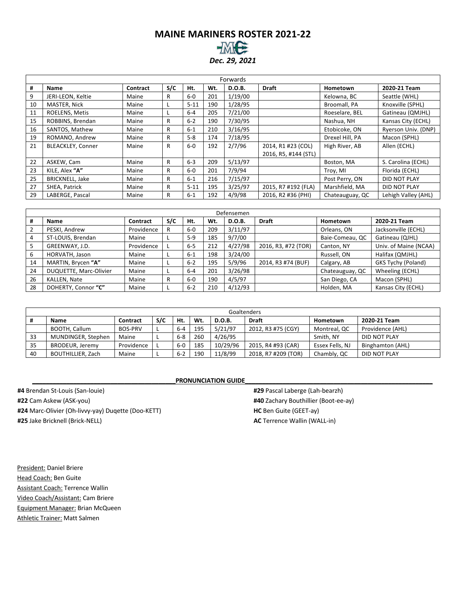#### **MAINE MARINERS ROSTER 2021-22** *Dec. 29, 2021*

|    |                          |                 |     |          |     | Forwards |                      |                 |                     |
|----|--------------------------|-----------------|-----|----------|-----|----------|----------------------|-----------------|---------------------|
| #  | Name                     | <b>Contract</b> | S/C | Ht.      | Wt. | D.O.B.   | <b>Draft</b>         | Hometown        | 2020-21 Team        |
| 9  | JERI-LEON, Keltie        | Maine           | R   | $6-0$    | 201 | 1/19/00  |                      | Kelowna, BC     | Seattle (WHL)       |
| 10 | MASTER, Nick             | Maine           |     | $5 - 11$ | 190 | 1/28/95  |                      | Broomall, PA    | Knoxville (SPHL)    |
| 11 | ROELENS, Metis           | Maine           |     | $6-4$    | 205 | 7/21/00  |                      | Roeselare, BEL  | Gatineau (QMJHL)    |
| 15 | ROBBINS, Brendan         | Maine           | R   | $6 - 2$  | 190 | 7/30/95  |                      | Nashua, NH      | Kansas City (ECHL)  |
| 16 | SANTOS, Mathew           | Maine           | R   | $6 - 1$  | 210 | 3/16/95  |                      | Etobicoke, ON   | Ryerson Univ. (DNP) |
| 19 | ROMANO, Andrew           | Maine           | R   | $5-8$    | 174 | 7/18/95  |                      | Drexel Hill, PA | Macon (SPHL)        |
| 21 | <b>BLEACKLEY, Conner</b> | Maine           | R   | $6 - 0$  | 192 | 2/7/96   | 2014, R1 #23 (COL)   | High River, AB  | Allen (ECHL)        |
|    |                          |                 |     |          |     |          | 2016, R5, #144 (STL) |                 |                     |
| 22 | ASKEW, Cam               | Maine           | R   | $6 - 3$  | 209 | 5/13/97  |                      | Boston, MA      | S. Carolina (ECHL)  |
| 23 | KILE, Alex "A"           | Maine           | R   | $6-0$    | 201 | 7/9/94   |                      | Troy, MI        | Florida (ECHL)      |
| 25 | <b>BRICKNELL, Jake</b>   | Maine           | R   | $6 - 1$  | 216 | 7/15/97  |                      | Post Perry, ON  | <b>DID NOT PLAY</b> |
| 27 | SHEA, Patrick            | Maine           | R   | $5 - 11$ | 195 | 3/25/97  | 2015, R7 #192 (FLA)  | Marshfield, MA  | DID NOT PLAY        |
| 29 | LABERGE, Pascal          | Maine           | R   | $6 - 1$  | 192 | 4/9/98   | 2016. R2 #36 (PHI)   | Chateauguay, QC | Lehigh Valley (AHL) |

|    |                        |            |     |         |     | Defensemen    |                     |                 |                           |
|----|------------------------|------------|-----|---------|-----|---------------|---------------------|-----------------|---------------------------|
| #  | Name                   | Contract   | S/C | Ht.     | Wt. | <b>D.O.B.</b> | <b>Draft</b>        | Hometown        | 2020-21 Team              |
|    | PESKI, Andrew          | Providence | R   | $6-0$   | 209 | 3/11/97       |                     | Orleans, ON     | Jacksonville (ECHL)       |
| 4  | ST-LOUIS, Brendan      | Maine      |     | $5-9$   | 185 | 9/7/00        |                     | Baie-Comeau, QC | Gatineau (QJHL)           |
|    | GREENWAY, J.D.         | Providence |     | $6 - 5$ | 212 | 4/27/98       | 2016, R3, #72 (TOR) | Canton, NY      | Univ. of Maine (NCAA)     |
| 6  | HORVATH, Jason         | Maine      |     | $6 - 1$ | 198 | 3/24/00       |                     | Russell, ON     | Halifax (QMJHL)           |
| 14 | MARTIN, Brycen "A"     | Maine      |     | $6 - 2$ | 195 | 5/9/96        | 2014, R3 #74 (BUF)  | Calgary, AB     | <b>GKS Tychy (Poland)</b> |
| 24 | DUQUETTE, Marc-Olivier | Maine      |     | $6 - 4$ | 201 | 3/26/98       |                     | Chateauguay, QC | Wheeling (ECHL)           |
| 26 | KALLEN, Nate           | Maine      | R   | $6-0$   | 190 | 4/5/97        |                     | San Diego, CA   | Macon (SPHL)              |
| 28 | DOHERTY, Connor "C"    | Maine      |     | $6 - 2$ | 210 | 4/12/93       |                     | Holden, MA      | Kansas City (ECHL)        |

|    |                          |                |     |         |     |               | Goaltenders         |                 |                         |
|----|--------------------------|----------------|-----|---------|-----|---------------|---------------------|-----------------|-------------------------|
|    | <b>Name</b>              | Contract       | S/C | Ht.     | Wt. | <b>D.O.B.</b> | <b>Draft</b>        | Hometown        | 2020-21 Team            |
|    | BOOTH, Callum            | <b>BOS-PRV</b> |     | $6 - 4$ | 195 | 5/21/97       | 2012, R3 #75 (CGY)  | Montreal, QC    | Providence (AHL)        |
| 33 | MUNDINGER, Stephen       | Maine          |     | $6 - 8$ | 260 | 4/26/95       |                     | Smith, NY       | DID NOT PLAY            |
| 35 | BRODEUR, Jeremy          | Providence     |     | $6-0$   | 185 | 10/29/96      | 2015, R4 #93 (CAR)  | Essex Fells, NJ | <b>Binghamton (AHL)</b> |
| 40 | <b>BOUTHILLIER, Zach</b> | Maine          |     | $6 - 2$ | 190 | 11/8/99       | 2018, R7 #209 (TOR) | Chambly, QC     | DID NOT PLAY            |

**PRONUNCIATION GUIDE** 

**#4** Brendan St-Louis (San-louie) **#22** Cam Askew (ASK-you) **#24** Marc-Olivier (Oh-livvy-yay) Duqette (Doo-KETT) **#25** Jake Bricknell (Brick-NELL)

**#29** Pascal Laberge (Lah-bearzh) **#40** Zachary Bouthillier (Boot-ee-ay) **HC** Ben Guite (GEET-ay) **AC** Terrence Wallin (WALL-in)

President: Daniel Briere Head Coach: Ben Guite Assistant Coach: Terrence Wallin Video Coach/Assistant: Cam Briere Equipment Manager: Brian McQueen Athletic Trainer: Matt Salmen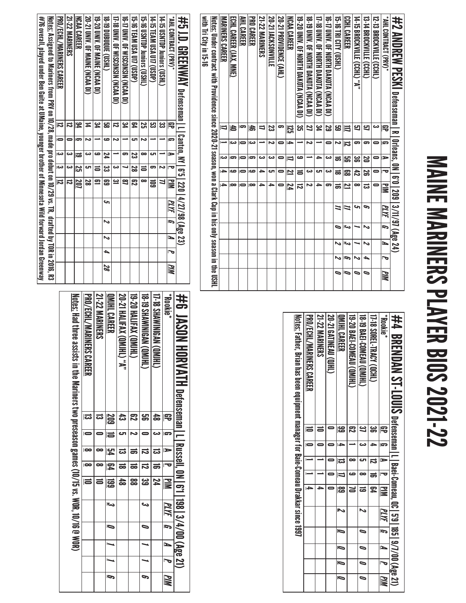# MAINE MARINERS PLAYER BIOS 2021-22 MAINE MARINERS PLAYER BIOS 2021-22

| #2 ΔΜΩΡΕΝΑ PESKI Defenseman I R I 01eans, 0N I 6'0   209   3/11/97 (Age 24)                                       |                          |                         |                |                          |              |      |                |     |   |            |
|-------------------------------------------------------------------------------------------------------------------|--------------------------|-------------------------|----------------|--------------------------|--------------|------|----------------|-----|---|------------|
| "NHL CONTRACT (PRV)*                                                                                              | 雩                        | s                       | ь              | $\overline{\phantom{a}}$ | $\mathbf{u}$ | PLYF | $\overline{5}$ | N   | 宝 | <b>PIM</b> |
| 12-13 BROCKVILLE (CCHL)                                                                                           | دى                       |                         |                | 0                        | 0            |      |                |     |   |            |
| 13-14 BROCKNILE (CCHL)                                                                                            | 9                        | 5                       | 20             | ಜ                        | ಪ            | P    | N              | N   | ▲ | 0          |
| 14-15 BROCKVILLE (CCHL) "A"                                                                                       | 5                        | 5                       | ఴ              | ਨੈ                       | $\infty$     | c    |                |     | ∾ | 0          |
| <b>CCHL CAREER</b>                                                                                                | 旨                        | $\overline{\mathbf{z}}$ | မ္မာ           | င္ထာ                     | 2            | N    | اورع           | احد | P | ∍          |
| <b>CHRI CITY (USHL)</b>                                                                                           | සු                       | N                       | ಹ              | ಹ                        | ಹ            | 7    | ∍              |     | N | 0          |
| 10-17 DNNY. OF NORTH DAKOTA (NCAA DI)                                                                             | 52                       | 0                       | دے             | دە                       | 5            |      |                |     |   |            |
| 17-18 CMV. OF NORTH DAKOTA (NCAA DI)                                                                              | يو<br>4                  |                         | ᆋ              | cл                       | ▵            |      |                |     |   |            |
| 18-19 UNIV. OF NORTH DAKOTA (NCAA DI)                                                                             | 27                       | د٦                      |                | دە                       | N            |      |                |     |   |            |
| 19-20 DNNY OF NORTH DAKOLA (NCAA DI)                                                                              | __<br>ದಿ                 |                         | ص              | $\equiv$                 | ದ            |      |                |     |   |            |
| NCAA CAREER                                                                                                       | ន្ល                      | ≏                       | ⇉              | 2                        | 74           |      |                |     |   |            |
| <b>20-21 PROVIDENCE (AHL)</b>                                                                                     | 9                        | 0                       | 0              | 0                        |              |      |                |     |   |            |
| <b>20-21 IACKSONVILLE</b>                                                                                         | ಜ                        | N                       | دە             | టా                       | ∍            |      |                |     |   |            |
| <b>21-22 MARINERS</b>                                                                                             | ⇉                        |                         | دە             | ᆋ                        | ∽            |      |                |     |   |            |
| PRO CAREER                                                                                                        | \$                       | دے                      | G.             | ص                        | $\infty$     |      |                |     |   |            |
| AHL CAREER                                                                                                        | G,                       | $\blacksquare$          | $\blacksquare$ |                          |              |      |                |     |   |            |
| ECHL CAREER (JAX, MNE)                                                                                            | 40                       | دە                      | 5              | ص                        | $\infty$     |      |                |     |   |            |
| MARINERS CAREER                                                                                                   | $\overline{\phantom{0}}$ |                         | دى             | t.                       | د            |      |                |     |   |            |
| <u>Notes:</u> Under contract with Providence since 2020-21 season, won a Clark Cup in his only season in the USHL |                          |                         |                |                          |              |      |                |     |   |            |
| with Tri City in 15-16                                                                                            |                          |                         |                |                          |              |      |                |     |   |            |
|                                                                                                                   |                          |                         |                |                          |              |      |                |     |   |            |

| #4 BRENDAN ST-LOUIS Defensent L   Bagi-Comeau, QC   37/00 (Age 21)                        |           |    |    |                          |           |      |                          |                          |                          |     |
|-------------------------------------------------------------------------------------------|-----------|----|----|--------------------------|-----------|------|--------------------------|--------------------------|--------------------------|-----|
| * <sub>Bookie</sub> *                                                                     | 宅         | E. | ь  | $\overline{\phantom{a}}$ | —<br>I≣   | PLYF | IJ                       | N                        |                          | PIM |
| 17-18 SOREL-TRACY (QCHL)                                                                  | ఴౢ        |    | ವ  | ಹ                        | ጄ         |      |                          |                          |                          |     |
| <b>18-19 BAEI-COMEAU (QMIHL)</b>                                                          | <u>ین</u> |    | లా |                          | ಹ         | N    | $\overline{\phantom{0}}$ | $\overline{\phantom{0}}$ | $\overline{\phantom{0}}$ |     |
| 19-20 BAEI-COMEAU (QMIHL                                                                  | ఔ         |    |    | ص                        |           |      |                          |                          |                          |     |
| <b>OMIHL CAREER</b>                                                                       |           |    | ವ  |                          | <u>)အ</u> | Z    | Ō                        | Ō                        | Ō                        | Ō   |
| 20-21 GATINEAU (QJHL)                                                                     |           |    |    |                          |           |      |                          |                          |                          |     |
| <b>21-22 MARINERS</b>                                                                     |           |    |    |                          |           |      |                          |                          |                          |     |
| <b>PRO/ECHL/MARINERS CAREER</b>                                                           | E         |    |    |                          |           |      |                          |                          |                          |     |
| <u>Notes:</u> Father, Brian has been equipment manager for Baie-Comeau Drakkar since 1997 |           |    |    |                          |           |      |                          |                          |                          |     |
|                                                                                           |           |    |    |                          |           |      |                          |                          |                          |     |

| #76 overall, played under Ben Guite at UMaine, younger brother of Minnesota Wild forward Jordan Greenway | <u>Notes:</u> Assigned to Mariners from PRV on 10/28, made pro debut on 10/29 vs. TR, drafted by TOR in 2016, R3 | <b>PRO/ECHL/MARINERS CAREER</b> | <b>21-22 MARINERS</b> | <b>NCAA CAREER</b>                   | <b>20-21 UNIV. OF MAINE (NCAA DI)</b> | 19-20 DNN: OF MAINE (NCAA DI) | <b>(THSC) JODGE (DSHL)</b> | 11-18 DIN. OF MISCONSIN (XCAA DI) | 16-17 UNIV. OF WISCONSIN (NCAA DI) | <b>15-16 TEAM USA UTP (USDF)</b> | 15-16 USNTDP Juniors (USHL) | <b>14-15 TEAM USA U17 (USDP)</b> | 14-15 QSMIDP Inniors (QSH) | *AHL CONTRACT (PRV) * |  |
|----------------------------------------------------------------------------------------------------------|------------------------------------------------------------------------------------------------------------------|---------------------------------|-----------------------|--------------------------------------|---------------------------------------|-------------------------------|----------------------------|-----------------------------------|------------------------------------|----------------------------------|-----------------------------|----------------------------------|----------------------------|-----------------------|--|
|                                                                                                          |                                                                                                                  | $\overline{\mathbf{u}}$         |                       | 54                                   | ħ                                     | ین<br>4                       | జ్ఞ                        | ವ                                 | یم<br>4                            | 54                               | <u>يہ</u>                   | ಜ                                | دە<br>دى                   | 弔                     |  |
|                                                                                                          |                                                                                                                  | $\overline{a}$                  |                       | G                                    | N                                     |                               | ص                          | N                                 |                                    | cл                               | Ñ                           |                                  |                            | l ca                  |  |
|                                                                                                          |                                                                                                                  | دعا                             | دے                    | ಡ                                    | دے                                    | مه                            | 74                         |                                   | 5                                  | ಜ                                | $\infty$                    | cл                               |                            | ь                     |  |
|                                                                                                          |                                                                                                                  | دعا                             | دە                    | $\overline{\overline{\overline{2}}}$ | cл                                    | ਛ                             | ್ರ                         | دے                                |                                    | $\overline{28}$                  | $\equiv$                    | 5                                | N                          |                       |  |
|                                                                                                          |                                                                                                                  | $\overline{a}$                  | ವ                     | 207                                  | 2g                                    | 요                             | සි                         | <u>یہ</u>                         | ಇ                                  | ౘె                               | ∞                           | ឨ                                | 1                          | $\mathbf{u}$          |  |
|                                                                                                          |                                                                                                                  |                                 |                       |                                      |                                       |                               | حہ                         |                                   |                                    |                                  |                             |                                  |                            | PLYF                  |  |
|                                                                                                          |                                                                                                                  |                                 |                       |                                      |                                       |                               | ゝ                          |                                   |                                    |                                  |                             |                                  |                            | $\overline{5}$        |  |
|                                                                                                          |                                                                                                                  |                                 |                       |                                      |                                       |                               | $\overline{\phantom{a}}$   |                                   |                                    |                                  |                             |                                  |                            | N                     |  |
|                                                                                                          |                                                                                                                  |                                 |                       |                                      |                                       |                               | A                          |                                   |                                    |                                  |                             |                                  |                            |                       |  |
|                                                                                                          |                                                                                                                  |                                 |                       |                                      |                                       |                               | 82                         |                                   |                                    |                                  |                             |                                  |                            | WM                    |  |

| \$P\$DNADRYATH Defenseman   L   Russel, 0N   6'1   198   3/4/00 (Age 21)                  |            |                |                |                          |                |      |   |   |   |     |
|-------------------------------------------------------------------------------------------|------------|----------------|----------------|--------------------------|----------------|------|---|---|---|-----|
| * <sub>Blookie</sub> *                                                                    | 吊          | ls:            | E              | ro                       | 員              | PLYF | G | ⊵ | J | PIM |
| <b>17-18 SHAWINIGAN (QMJHL)</b>                                                           | 48         |                | ಹ              | ಹ                        | 74             |      |   |   |   |     |
| <b>18.19 SHAWINISAN (QMIHL)</b>                                                           | မ္မာ       |                |                | ವ                        | ڇي             | ىئ   | ∍ |   |   | S   |
| <b>19-20 HALIFAX (QMJHL)</b>                                                              | ౘె         |                |                | ಹ                        | 88             |      |   |   |   |     |
| <b>20-21 HALIFAX (QMJHL) "A"</b>                                                          |            | دت             | ಪ              | ಹ                        | $\frac{4}{10}$ |      |   |   |   |     |
| QMIHL CAREER                                                                              | <u>209</u> | $\overline{a}$ | 54             | $\overline{\mathbf{z}}$  | 冨              | احد  | Ō |   |   | Ō   |
| <b>21-22 MARINERS</b>                                                                     |            |                |                | ∞                        | $\Rightarrow$  |      |   |   |   |     |
| <b>PRO/ECHL/MARINERS CAREER</b>                                                           | ದ          |                | $\overline{c}$ | $\overline{\phantom{a}}$ | 13             |      |   |   |   |     |
| Notes: Had three assists in the Mariners two preseason games (10/15 vs. WOR, 10/16 @ WOR) |            |                |                |                          |                |      |   |   |   |     |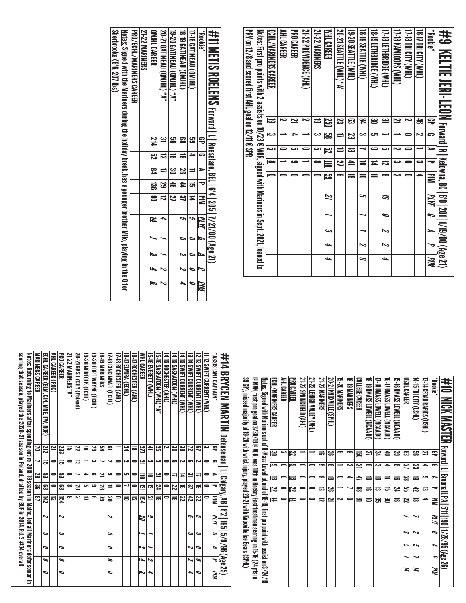| #9 KELIIE JERI-LEON Forward I Rikelwia, 80 I 610 I 1219/00 (Age 21)                                         |           |               |                         |                         |            |    |   |     |                          |     |
|-------------------------------------------------------------------------------------------------------------|-----------|---------------|-------------------------|-------------------------|------------|----|---|-----|--------------------------|-----|
| <b>Pookie*</b>                                                                                              | ₽         | l Sa          | ►                       | ᅮ                       | ≧          | ΜЫ | ŋ | P   | Į                        | MM  |
| <b>THA) ALIC MHT)</b>                                                                                       | ds<br>O   | N             |                         | دے                      | ٠          |    |   |     |                          |     |
| 17-18 TRI CITY (WHL)                                                                                        | دہ        | 0             | $\equiv$                | =                       |            |    |   |     |                          |     |
| <b>THAN SHOPS (NHL)</b>                                                                                     | 2         |               | N                       | دے                      | د٦         |    |   |     |                          |     |
| THR LETHBRIDGE (WHL)                                                                                        | یے        |               | ى                       | ವ                       | œ          | ಕ  | ∍ | ぃ   | $\sim$                   |     |
| CHAN) 390188HL31 6L-8L                                                                                      | ൠ         | ص             | صه                      | Ħ                       | $\equiv$   |    |   |     |                          |     |
| 18-19 SEATTLE (WHL)                                                                                         | عے        | دے            |                         | $\equiv$                | $\equiv$   | حە |   |     | $\overline{\phantom{a}}$ | 0   |
| <b>19-20 SEATTLE (WHL)</b>                                                                                  | ఔ         | 23            | ಹ                       | $\overline{4}$          | ಹ          |    |   |     |                          |     |
| <b>20-21 SEATTLE (WHL) "A"</b>                                                                              | ಜ         | $\Rightarrow$ | $\equiv$                | $\overline{\mathbf{z}}$ | 5          |    |   |     |                          |     |
| <b>WHLCAREER</b>                                                                                            | 250       | <u>မ္မ</u> ာ  | $\overline{\mathbb{E}}$ | $\equiv$                | <u>ದ್ದ</u> | 2  |   | احت | l-b                      | ۱÷b |
| <b>21-22 MARINERS</b>                                                                                       | ಹ         | دے            | دے                      | ∞                       |            |    |   |     |                          |     |
| 21-22 PROVIDENCE (AHL)                                                                                      |           |               |                         |                         |            |    |   |     |                          |     |
| PRO CAREER                                                                                                  | <u>יי</u> | 4             | ات                      | صه                      |            |    |   |     |                          |     |
| AHL CAREER                                                                                                  |           |               |                         |                         |            |    |   |     |                          |     |
| ECHL/MARINERS CAREER                                                                                        | ౹ಪ        | دے            | iсл                     | $\bullet$               |            |    |   |     |                          |     |
| <u>Notes:</u> First pro points with 2 assists on 10/23 @ WOR, signed with Mariners in Sept. 2021, loaned to |           |               |                         |                         |            |    |   |     |                          |     |
| PRV on 12/8 and scored first AHL goal on 12/11 @ SPR                                                        |           |               |                         |                         |            |    |   |     |                          |     |

|                                  |                                                                                                                   |                                 |                       |                 |                                   |                                   |                               |                               | *Bookie*   |                                                                            |
|----------------------------------|-------------------------------------------------------------------------------------------------------------------|---------------------------------|-----------------------|-----------------|-----------------------------------|-----------------------------------|-------------------------------|-------------------------------|------------|----------------------------------------------------------------------------|
| <b>Sherbrooke (6'6, 207 lbs)</b> | <u>Notes:</u> Signed with the Mariners during the holiday break, has a younger brother Milo, playing in the Q for | <b>PRO/ECHL/MARINERS CAREER</b> | <b>21-22 MARINERS</b> | QMIHL CAREER    | <b>20-21 GATINEAU (QMJHL) "A"</b> | <b>19-20 GATINEAU (QMJHL) "A"</b> | <b>18-19 GATINEAU (QMJHL)</b> | <b>17-18 GATINEAU (QMJHL)</b> |            | #11 METIS ROELENS Forward I I Rossdare, BEI   6'4   205   1/21/00 (Age 21) |
|                                  |                                                                                                                   |                                 |                       |                 |                                   |                                   |                               |                               |            |                                                                            |
|                                  |                                                                                                                   |                                 |                       | 214             |                                   |                                   |                               |                               |            |                                                                            |
|                                  |                                                                                                                   |                                 |                       | 75              |                                   | ಹ                                 | ಹ                             |                               | G          |                                                                            |
|                                  |                                                                                                                   |                                 |                       | $\overline{54}$ |                                   | <u>ట</u>                          | S                             |                               | Ξ          |                                                                            |
|                                  |                                                                                                                   |                                 |                       | 58              | 53                                | $\frac{4}{5}$                     | 4                             | ಕ                             |            |                                                                            |
|                                  |                                                                                                                   |                                 |                       | 19              | ದ                                 | 2                                 | <u>یع</u>                     | ≖                             | $\Xi$      |                                                                            |
|                                  |                                                                                                                   |                                 |                       | И               |                                   |                                   |                               |                               | PLYF       |                                                                            |
|                                  |                                                                                                                   |                                 |                       |                 |                                   |                                   |                               |                               | IJ         |                                                                            |
|                                  |                                                                                                                   |                                 |                       | الى             |                                   |                                   |                               |                               | N          |                                                                            |
|                                  |                                                                                                                   |                                 |                       | l-              | ゝ                                 |                                   |                               |                               |            |                                                                            |
|                                  |                                                                                                                   |                                 |                       | Ģ               | ゝ                                 |                                   |                               |                               | <b>PIM</b> |                                                                            |

| 39 GP), missed majority of 19-20 with wrist injury, played 20-21 with Knoxville Ice Bears (SPHL)<br>@ MAN, first pro goal on 3/30/19 @ ADK, xest tresshmans couting in Hole Man (24 pts in 15-16 (24 pts in 15-16 (<br><u>Notes:</u> Signed with Mariners out of U-Mass Lowell at end of 18-19, first pro point with assist on 3/24/19<br>#10 MICK MASTER Forward I_Proomall, PA   511 190   1/28/95 (Age 26)<br><u>မ</u><br>ݺ<br>ئع<br>ع<br>జ<br>N<br>ౢ<br>$\infty$<br>ㅎ<br>ု့<br>జ<br>5<br>౻<br>21<br>宅<br>ಕ<br>冟<br>ص<br>Ľ<br>دے<br>ص<br>$\infty$<br>دے<br>ᆋ<br>12<br>ال<br>5<br>$\infty$<br>జ<br>G<br>0<br>⇒<br>ಹ<br>$\Rightarrow$<br>4<br>đ<br>$\Rightarrow$<br><u>ន</u><br>$\infty$<br>ص<br>ಹ<br>0<br>ಹ<br>$\blacksquare$<br>0<br>-<br>ᇹ<br>ᇹ<br>ಹ<br>ದ<br>$\overline{z}$<br>ន្ទា<br>성<br>జ<br>ၼ<br>ದ<br>24<br>ᅮ<br>12<br>$\Rightarrow$<br>0<br>0<br>ವ<br>ಹ<br>ವ<br>ವ<br>$\overline{1}$<br>$\overline{\phantom{0}}$<br>ൠ<br>دہ<br>٩<br>ಜ<br>72<br>ಹ<br>WМ<br>0<br>$\equiv$<br>ಹ<br>⇒<br>Ħ<br>ನ<br><u>МИ</u><br>Ī,<br>へ<br>∾<br>L<br>حە<br>حه<br>Į<br>И<br>M<br>И |  | ECHL/MARINERS CAREER | AHL CAREER | PRO CAREER | 21-22 SPRINGFIELD (AHL) | 21-22 LEHIGH VALLEY (AHL) | 21-22 MARINERS | <b>20-21 KNOXNILE (SPHL)</b> | <b>19-20 MARINERS</b> | <b>18-19 MARINERS</b> | COLLEGE CAREER | 18 - 19 DWASS LOWELL (NCAA DI) | 17-I8 DMASS LOWELL (NCAA DI) | <b>10-17 DNASS LOWELL (NCAP DI)</b> | 15-50 NASS CONFLIVER OF ASSESSMENT | LISHL CAREER | (THS OLLA (OSHL) | <b>CHISTS SOLED ARE SERVER</b> | <b>Rookie</b> * |  |
|------------------------------------------------------------------------------------------------------------------------------------------------------------------------------------------------------------------------------------------------------------------------------------------------------------------------------------------------------------------------------------------------------------------------------------------------------------------------------------------------------------------------------------------------------------------------------------------------------------------------------------------------------------------------------------------------------------------------------------------------------------------------------------------------------------------------------------------------------------------------------------------------------------------------------------------------------------------------------------------------------------------------------------------------------------------------|--|----------------------|------------|------------|-------------------------|---------------------------|----------------|------------------------------|-----------------------|-----------------------|----------------|--------------------------------|------------------------------|-------------------------------------|------------------------------------|--------------|------------------|--------------------------------|-----------------|--|
|                                                                                                                                                                                                                                                                                                                                                                                                                                                                                                                                                                                                                                                                                                                                                                                                                                                                                                                                                                                                                                                                        |  |                      |            |            |                         |                           |                |                              |                       |                       |                |                                |                              |                                     |                                    |              |                  |                                |                 |  |
|                                                                                                                                                                                                                                                                                                                                                                                                                                                                                                                                                                                                                                                                                                                                                                                                                                                                                                                                                                                                                                                                        |  |                      |            |            |                         |                           |                |                              |                       |                       |                |                                |                              |                                     |                                    |              |                  |                                |                 |  |
|                                                                                                                                                                                                                                                                                                                                                                                                                                                                                                                                                                                                                                                                                                                                                                                                                                                                                                                                                                                                                                                                        |  |                      |            |            |                         |                           |                |                              |                       |                       |                |                                |                              |                                     |                                    |              |                  |                                |                 |  |
|                                                                                                                                                                                                                                                                                                                                                                                                                                                                                                                                                                                                                                                                                                                                                                                                                                                                                                                                                                                                                                                                        |  |                      |            |            |                         |                           |                |                              |                       |                       |                |                                |                              |                                     |                                    |              |                  |                                |                 |  |
|                                                                                                                                                                                                                                                                                                                                                                                                                                                                                                                                                                                                                                                                                                                                                                                                                                                                                                                                                                                                                                                                        |  |                      |            |            |                         |                           |                |                              |                       |                       |                |                                |                              |                                     |                                    |              |                  |                                |                 |  |
|                                                                                                                                                                                                                                                                                                                                                                                                                                                                                                                                                                                                                                                                                                                                                                                                                                                                                                                                                                                                                                                                        |  |                      |            |            |                         |                           |                |                              |                       |                       |                |                                |                              |                                     |                                    |              |                  |                                |                 |  |
|                                                                                                                                                                                                                                                                                                                                                                                                                                                                                                                                                                                                                                                                                                                                                                                                                                                                                                                                                                                                                                                                        |  |                      |            |            |                         |                           |                |                              |                       |                       |                |                                |                              |                                     |                                    |              |                  |                                |                 |  |
|                                                                                                                                                                                                                                                                                                                                                                                                                                                                                                                                                                                                                                                                                                                                                                                                                                                                                                                                                                                                                                                                        |  |                      |            |            |                         |                           |                |                              |                       |                       |                |                                |                              |                                     |                                    |              |                  |                                |                 |  |
|                                                                                                                                                                                                                                                                                                                                                                                                                                                                                                                                                                                                                                                                                                                                                                                                                                                                                                                                                                                                                                                                        |  |                      |            |            |                         |                           |                |                              |                       |                       |                |                                |                              |                                     |                                    |              |                  |                                |                 |  |
|                                                                                                                                                                                                                                                                                                                                                                                                                                                                                                                                                                                                                                                                                                                                                                                                                                                                                                                                                                                                                                                                        |  |                      |            |            |                         |                           |                |                              |                       |                       |                |                                |                              |                                     |                                    |              |                  |                                |                 |  |

| scoring that season, played the 2020-21 season in Poland, drafted by BUF in 2014, Rd. 3 #74 overall<br><u>Notes:</u> Returning to Mariners after spending entire 2018-19 season in Maine, led all Mariners defenseman in | MARINERS CAREER | ECHL CAREER (ELM. C)N<br>MNE,<br>FW, NOR) | AHL CAREER (ROC) | <b>PRO CAREER</b>        | 21-22 MARINERS "A" | 20-21 GKS TYCHY (Poland) | 19-20 MORFOLK (ECHL) | 19-20 FORT WAYNE (ECHL) | <b>18-TO MARINERS</b> | <b>17-18 CINCINNATI (ECHL)</b> | 17-18 ROCHESTER (AHL) | <b>16-t7 ELMIRA (ECHL)</b> | 16-T) Rochester (Ahl.) | <b>NHL CAREER</b> | <b>IS-18 EVERELT (WHL)</b> | <b>15.5 SASSAIDON (VHL)</b> .7" | 14-15 ROCHESTER (AHL) | 14-15 SASKATOON (WHL) | 14-15 SWIFT CURENT (WHL) | 13-14 SWIFT CURRENT (WHL) | 12-13 SWIFT CURRENT (WHL) | II-12 SWIFT CURRENT (WHL) | "NIAPTANT CAPTAIN" | #14 BRYCEN MARTIN Defenseman |
|--------------------------------------------------------------------------------------------------------------------------------------------------------------------------------------------------------------------------|-----------------|-------------------------------------------|------------------|--------------------------|--------------------|--------------------------|----------------------|-------------------------|-----------------------|--------------------------------|-----------------------|----------------------------|------------------------|-------------------|----------------------------|---------------------------------|-----------------------|-----------------------|--------------------------|---------------------------|---------------------------|---------------------------|--------------------|------------------------------|
|                                                                                                                                                                                                                          | ă               | 212                                       |                  | 233                      | ದ                  | 22                       | ಹ                    | 29                      | ሄ                     | ≘                              |                       | ڇ                          | ಹ                      | 271               | ≞                          | ឌ                               | ىم                    | ൠ                     | జ                        | ಡ                         | ఇ                         | دى                        | 吊                  |                              |
|                                                                                                                                                                                                                          |                 | ದ                                         |                  | ದ                        |                    | ಪ                        |                      | دے                      |                       | ىم                             |                       | دہ                         | 0                      | یم                | دے                         | دے                              | 0                     | లా                    | ىم                       | -                         | ىم                        | 0                         | E.                 |                              |
|                                                                                                                                                                                                                          | 5g              | ပ္ပာ                                      |                  | జ                        | ∞                  |                          | د                    | ິ                       | 브                     | ص                              | 0                     | cл                         | 0                      | Ħ                 | ᇹ                          | 2                               | 0                     | ⇉                     | ≖                        | یے                        | ⇉                         | 0                         | ►                  |                              |
|                                                                                                                                                                                                                          | ಜ್ಞ             | జె                                        |                  | జె                       | ∞                  | 29                       | ى                    | ڡ                       | 23                    |                                | 0                     | ب                          | 0                      | 르                 | ಪ                          | 74                              | 0                     | 22                    | ಹ                        | یئ                        | ಹ                         | 0                         | ra                 |                              |
|                                                                                                                                                                                                                          | ఇ               | 142                                       | ≂                | ፱                        | ∞                  | دہ                       | =                    | ∞                       | ಡ                     | 20                             | 0                     | ᇹ                          | ವ                      | Ë4                | 2                          | ಹ                               | 0                     | ಹ                     | 22                       | 42                        | ಜ                         | 0                         | $\mathbf{u}$       | <b>Calgary, AB   6'2</b>     |
|                                                                                                                                                                                                                          |                 |                                           |                  |                          |                    |                          |                      |                         |                       |                                |                       |                            |                        |                   |                            |                                 |                       |                       |                          |                           |                           |                           |                    |                              |
|                                                                                                                                                                                                                          |                 | ら                                         |                  | ふ                        |                    |                          |                      |                         |                       | ゝ                              |                       |                            |                        | 22                | مه                         |                                 |                       |                       |                          | ๑                         | ى                         |                           | ЫМ                 |                              |
|                                                                                                                                                                                                                          |                 | ∍                                         |                  | ∍                        |                    |                          |                      |                         |                       | ∍                              |                       |                            |                        |                   |                            |                                 |                       |                       |                          | ∍                         | ∍                         |                           | Ĩ,                 | 195   5/9/96 (Age 25)        |
|                                                                                                                                                                                                                          |                 | ∍                                         |                  | ∍                        |                    |                          |                      |                         |                       | ∍                              |                       |                            |                        | دى                |                            |                                 |                       |                       |                          | یہ                        | ∍                         |                           | ⊾                  |                              |
|                                                                                                                                                                                                                          |                 | ∍                                         |                  | ∍                        |                    |                          |                      |                         |                       | ื่                             |                       |                            |                        | ٠                 | ∾                          |                                 |                       |                       |                          | Ν                         | ∍                         |                           | ᠆                  |                              |
|                                                                                                                                                                                                                          |                 | ∍                                         |                  | $\overline{\phantom{0}}$ |                    |                          |                      |                         |                       | ื่                             |                       |                            |                        | b                 | ь                          |                                 |                       |                       |                          | ь                         | ∍                         |                           | WМ                 |                              |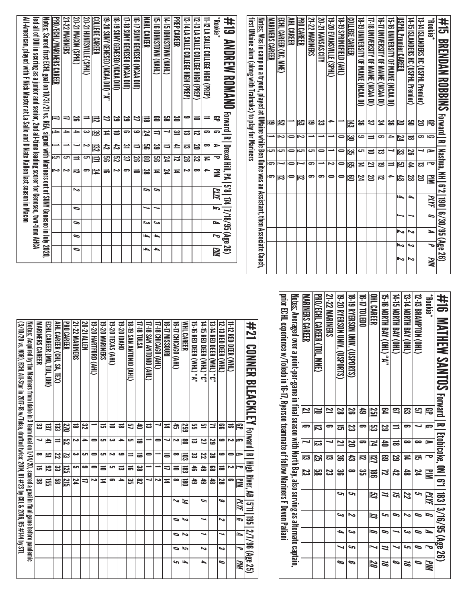| #10 MAHEW SAMTOS Forward I R                                                                                    |                         |      |                  |     | Ltonica's 0N   61   183   3/16/95 (Age 26) |    |                         |    |                     |           |
|-----------------------------------------------------------------------------------------------------------------|-------------------------|------|------------------|-----|--------------------------------------------|----|-------------------------|----|---------------------|-----------|
| <b>Rookie</b>                                                                                                   | 号                       | E.   | $\triangleright$ | l o | <b>Mik</b>                                 | MИ | $\overline{\mathbf{5}}$ | ⊾  | $\bar{\phantom{a}}$ | <b>MM</b> |
| 12-13 BRAMPTON (OHL)                                                                                            | 9                       |      | œ                | ದ   | 24                                         | حہ |                         | 0  | 0                   |           |
| 13-14 NORTH BAY (OHL)                                                                                           | ఔ                       | 5    | ∞                | ≖   | 숞                                          | 22 |                         | در | حہ                  | 92<br>Po  |
| 14-GI ADALH BAY (OHL)                                                                                           | 3                       |      | ಹ                | ಜ   | 42                                         | ল  | P                       |    |                     | ∞         |
| 15-16 NORTH BAY (OHL) "A"                                                                                       | ድ                       | S    | 4                | ಔ   | Z                                          | ≒  | حہ                      | S  | 11                  | ಷ         |
| OHL CAREER                                                                                                      | 551                     | ပ္ပာ | N                | 121 | g                                          | 3  | 13                      | Ģ  |                     | N         |
| 00TDLED0                                                                                                        | සි                      | 5    | ິ                | ವ   | یب<br>ات                                   |    |                         |    |                     |           |
| 18-19 RYERSON UNIV. (USPORTS)                                                                                   | S                       | ಜ    | 20               | ದೆ  | ∞                                          | s  | ゝ                       | ىئ | c                   | P         |
| 19-20 RYFRSON ONIK. (CDSPORTS)                                                                                  | 2g                      | ದ    | $\overline{2}$   | ఴ   | ఴౢ                                         | حہ | دى                      | ┶  |                     | ∞         |
| 21-22 MARINERS                                                                                                  | 2                       | ິ    |                  | ದ   | ಜ                                          |    |                         |    |                     |           |
| PRO/ECHI CARER (10L, MNE)                                                                                       | 1                       | 瓦    | ದ                | រូ  | မွာ                                        |    |                         |    |                     |           |
| MARINERS CAREER                                                                                                 | $\overline{\mathbf{z}}$ | Ģ    |                  | ದ   | ಜ                                          |    |                         |    |                     |           |
| <u>Notes:</u> Averaged over a point-per-game in final season with North Bay, also serving as alternate captain, |                         |      |                  |     |                                            |    |                         |    |                     |           |
| nrior ECHI oxperience w/noledo in 16·11, Ayerson teammate of follow Mariners Floron Paliami                     |                         |      |                  |     |                                            |    |                         |    |                     |           |
|                                                                                                                 |                         |      |                  |     |                                            |    |                         |    |                     |           |

Notes: Scored first ECHL goal on 10/31/21 vs. REA, signed with Mariners out of SUNY Geneseo in July 2020,

led all of DIII in scoring as a junior and senior, 2nd all-time leading scorer for Geneseo, two-time AHCA

<u>Notes:</u> Scored first ECHL goal on 10/31/21 vs. REA, signed with Mariners out of SUNY Geneseo in July 2020,<br>Ied all of DIII in scoring as a junior and senior, 2nd all-time leading scorer for Geneseo, two-time AHCA

All-American, played with F Nick Master at La Salle and D Nate Kallen last season in Macon

All-American, played with F Nick Master at La Salle and D Nate Kallen last season in Macon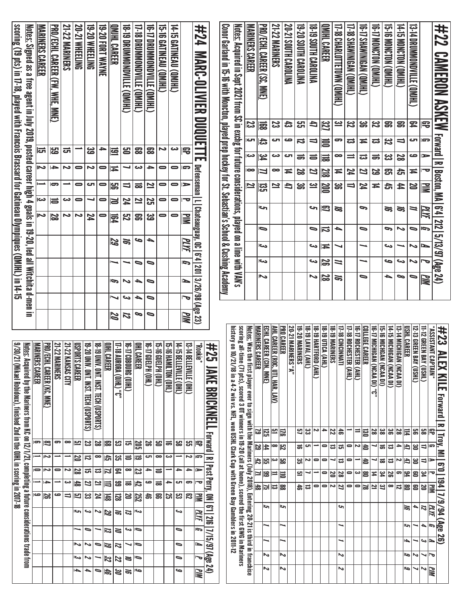| <u>scoring (19 pts) in 17-18, played with Francois Brassard for Gatineau Olympiques (QMJHL) in 14-15</u> | <u>Notes:</u> Signed as a free agent in July 2019, posted career high 4 goals in 19-20, led all Witchita d-men in | <b>MARINERS CAREER</b>                                          | PRO/ECHL CAREER (FW<br><b>MHE</b><br><b>MNE</b> | <b>21-22 MARINERS</b> | 20-21 WHEELING          | 19-20 WHEELING                        | 19-20 FORT WAYNE                      | <b>OMIHL CAREER</b>                                       | <b>B-19 DRUMMONONDVILLE</b><br>(THIND) | 17-18<br><b>DRUMMONOWILE</b><br>(THIMD) | 16-17 DRUMMONDVILLE (QMJHL)                 | <b>CATINEAU (QMHL)</b> | 14-T5 GATINEAU (QMJHL)                      |                          | #24<br><b>MARC-OLIVIER DUQUETT</b>                                      |                                | Conor Garland in 15-16 with Moncton, played prep hockey for St. Sebastian's School & Cushing Academy | <u>Notes:</u> Acquired in Sept 2021 from SC in exchg for future considerations, played on a line with VAN's                                                                                  | <b>MARINERS CAREER</b>                                                                                              | PRO/ECHL CAREER (SC,<br><b>MNE</b>           | 21-22 MARINERS                         | 20-21 SOUTH CAROLINA                           | 19-20 SOUTH CAROLINA | <b>A FIRST SOUTH CAROLINA</b>             | <b>UNIHI CAREER</b> | I7-18 CHARLOTTETOWN (QMIHL)               | <b>[1-18 SHAWINGAN (OMJHL)</b>    | <b>GINIMENA (OMIHL)</b>                               | (THEW) NONCION (ONHE)               | <b>GREAN CONCLOR CONFIET</b>                               | 14-15 MONCTON (QMJHL)    | <b>CONNING ALLER (DANNEL)</b>                |                                               | #22<br><b>CAMERON ASKEW</b>                                  |
|----------------------------------------------------------------------------------------------------------|-------------------------------------------------------------------------------------------------------------------|-----------------------------------------------------------------|-------------------------------------------------|-----------------------|-------------------------|---------------------------------------|---------------------------------------|-----------------------------------------------------------|----------------------------------------|-----------------------------------------|---------------------------------------------|------------------------|---------------------------------------------|--------------------------|-------------------------------------------------------------------------|--------------------------------|------------------------------------------------------------------------------------------------------|----------------------------------------------------------------------------------------------------------------------------------------------------------------------------------------------|---------------------------------------------------------------------------------------------------------------------|----------------------------------------------|----------------------------------------|------------------------------------------------|----------------------|-------------------------------------------|---------------------|-------------------------------------------|-----------------------------------|-------------------------------------------------------|-------------------------------------|------------------------------------------------------------|--------------------------|----------------------------------------------|-----------------------------------------------|--------------------------------------------------------------|
|                                                                                                          |                                                                                                                   |                                                                 |                                                 |                       |                         |                                       |                                       |                                                           |                                        |                                         |                                             |                        |                                             |                          |                                                                         |                                |                                                                                                      |                                                                                                                                                                                              | 33                                                                                                                  | 冨                                            | 23                                     | お                                              | ဌာ                   | đ                                         | 178                 | <u>یہ</u>                                 | 32                                | ၼ                                                     | స                                   | ஐ                                                          | 8                        | 罕                                            | 宅                                             |                                                              |
|                                                                                                          |                                                                                                                   | 더                                                               | ပ္ထာ                                            | ಕ                     |                         | ၼ                                     | ≏                                     | 르                                                         | 呂                                      | 53                                      | 53                                          | N                      | دى                                          | 宅                        |                                                                         |                                |                                                                                                      |                                                                                                                                                                                              | ات                                                                                                                  | お                                            | ౮                                      | صه                                             | ≂                    | ⇒                                         | 言                   | 5                                         | ಪ                                 | Ħ                                                     | ಪ                                   | 32<br>N                                                    | $\vec{v}$                | ى                                            | s                                             | <b>Forward R</b>                                             |
|                                                                                                          |                                                                                                                   | ى                                                               | →                                               | N                     | 0                       | ى                                     | 0                                     | ∓                                                         |                                        | دى                                      | ≏                                           | 0                      | $\bullet$                                   | s                        | m                                                                       |                                |                                                                                                      |                                                                                                                                                                                              | دى                                                                                                                  | 54                                           | دى                                     | ى                                              | ᇹ                    | ᇹ                                         | 긂                   | ∞                                         | ⋍                                 | ದ                                                     | ಹ                                   | జ                                                          | 2g                       | ص                                            | $\Rightarrow$                                 |                                                              |
|                                                                                                          |                                                                                                                   |                                                                 | ణ                                               |                       | 0                       | ى                                     |                                       |                                                           |                                        |                                         |                                             | 0                      | 0                                           | ∍                        |                                                                         |                                |                                                                                                      |                                                                                                                                                                                              | $\overline{\phantom{a}}$<br>$\overline{\mathbf{z}}$                                                                 | Ц                                            | ∞                                      | ≖                                              | 52                   | 22                                        | <b>218</b>          | ≖                                         | 24                                | 22                                                    | 25                                  | ඍ                                                          | 읁                        | ≖                                            |                                               |                                                              |
|                                                                                                          |                                                                                                                   | دى                                                              | 15                                              | دە                    | 0                       |                                       | 0                                     | ဌာ<br>ð                                                   | ゠<br>74                                | ಹ<br>≌                                  | <u>기</u><br>25                              | 0                      | 0                                           | ヮ                        |                                                                         |                                |                                                                                                      |                                                                                                                                                                                              |                                                                                                                     | ឌ្រុ                                         | 21                                     | 4                                              | ၼ                    | <u>يـ</u>                                 | <b>SOD</b>          | ఊ                                         | $\overline{\phantom{0}}$          | 4                                                     | Ħ                                   | ෫                                                          | 44                       | 22                                           | 긓                                             | Boston, MA                                                   |
|                                                                                                          |                                                                                                                   | د                                                               | 52                                              | ∽                     | ىم                      | 24                                    | 0                                     | 同                                                         | 32                                     | ဌာ                                      | జ                                           | 0                      | 0                                           | ≧                        | <u> Defenseman   L   Chateauguay, OC   6'4   201   3/26/98 (Age 23)</u> |                                |                                                                                                      |                                                                                                                                                                                              |                                                                                                                     | احى                                          |                                        |                                                |                      | S                                         | 3                   | డ                                         |                                   | P                                                     |                                     | Z                                                          | ಹ                        | ≒                                            | PLYF                                          | 0.4 212                                                      |
|                                                                                                          |                                                                                                                   |                                                                 |                                                 |                       |                         |                                       |                                       |                                                           |                                        |                                         |                                             |                        |                                             |                          |                                                                         |                                |                                                                                                      |                                                                                                                                                                                              |                                                                                                                     | 9                                            |                                        |                                                |                      | 0                                         | ನ                   | ┶                                         |                                   | ∍                                                     |                                     | β                                                          | ゝ                        | ∍                                            | G                                             |                                                              |
|                                                                                                          |                                                                                                                   |                                                                 |                                                 |                       |                         |                                       |                                       | 29                                                        | 91                                     | ص                                       | ┶                                           |                        |                                             | PLYF                     |                                                                         |                                |                                                                                                      |                                                                                                                                                                                              |                                                                                                                     | احد                                          |                                        |                                                |                      | S                                         | ∓                   |                                           |                                   |                                                       |                                     | ىي                                                         |                          | $\sim$                                       | ∍                                             | 5/13/97 (Age 24)                                             |
|                                                                                                          |                                                                                                                   |                                                                 |                                                 |                       |                         |                                       |                                       |                                                           |                                        | ∍                                       | ∍                                           |                        |                                             | g                        |                                                                         |                                |                                                                                                      |                                                                                                                                                                                              |                                                                                                                     | احى                                          |                                        |                                                |                      | دى                                        | 55                  | ⋍                                         |                                   |                                                       |                                     | م                                                          | S                        | ゝ                                            |                                               |                                                              |
|                                                                                                          |                                                                                                                   |                                                                 |                                                 |                       |                         |                                       |                                       | G                                                         | ゝ                                      | 4                                       | ∍                                           |                        |                                             | ь                        |                                                                         |                                |                                                                                                      |                                                                                                                                                                                              |                                                                                                                     | へ                                            |                                        |                                                |                      | ζ                                         | జ                   | ₩                                         |                                   | ∍                                                     |                                     | ▵                                                          | 9                        | 0                                            | PIM                                           |                                                              |
|                                                                                                          |                                                                                                                   |                                                                 |                                                 |                       |                         |                                       |                                       |                                                           | ده                                     | ┶                                       | ∍                                           |                        |                                             |                          |                                                                         |                                |                                                                                                      |                                                                                                                                                                                              |                                                                                                                     |                                              |                                        |                                                |                      |                                           |                     |                                           |                                   |                                                       |                                     |                                                            |                          |                                              |                                               |                                                              |
|                                                                                                          |                                                                                                                   |                                                                 |                                                 |                       |                         |                                       |                                       |                                                           |                                        |                                         |                                             |                        |                                             |                          |                                                                         |                                |                                                                                                      |                                                                                                                                                                                              |                                                                                                                     |                                              |                                        |                                                |                      |                                           |                     |                                           |                                   |                                                       |                                     |                                                            |                          |                                              |                                               |                                                              |
|                                                                                                          |                                                                                                                   |                                                                 |                                                 |                       |                         |                                       |                                       | 20                                                        | 12                                     | 9                                       | $\bullet$                                   |                        |                                             | PIN                      |                                                                         |                                |                                                                                                      |                                                                                                                                                                                              |                                                                                                                     |                                              |                                        |                                                |                      |                                           |                     |                                           |                                   |                                                       |                                     |                                                            |                          |                                              |                                               |                                                              |
|                                                                                                          | <b>Notes:</b>                                                                                                     | PRO/ECHL CAREER (KC, MNE)<br><b>MARINE</b><br><b>ERS CAREER</b> | 21-22 MARINERS                                  | 21-22 K<br>ANSAS CITY | USPORTS CAREER          |                                       |                                       | <b>17-18 Al</b><br>OIHL CAREER<br><b>OM (THIC) VAIDAN</b> | 00 41-91<br>DBOURG (OIHL)              | <b>BHL CAREER</b>                       | 1911-91<br><b>(THO) H<ten< b=""></ten<></b> | 1991-91<br>CHO) HEIPI  | 14-15 BELLEVILLE (OHL)<br>(THO) NOLTIMATION | 13481<br>ELLEVILLE (OHL) | *Rookie                                                                 | #25<br>JAKE<br>BRICKNEL        |                                                                                                      | history on 10/                                                                                                                                                                               |                                                                                                                     | MARINERS CAI<br>ECHL CAREER (CIN, MNE)<br>吊田 | <u>AHL CAREER (ROC, UTI, HAR, LAV)</u> | <b>PRO CAREER</b><br><b>20-21 MARINERS "A"</b> | 19-20 MARINERS       | 18-19 HARTFORD (AHL)<br>18-19 LAVAL (AHL) | 18-19 UTICA (AHL)   | <b>17-18 CINCINNATI</b><br>18-19 MARINERS | 17-18 ROCHESTER (AHL)             | <b>COLLEGE CAREER</b><br><b>IG-T7 ROCHESTER (AHL)</b> | <b>16-17 MICHIGAN (NCAA DI) "C"</b> | 15-16 MICHGAN (NCAA DI)<br><b>14-15 MICHIGAN (NCAA DI)</b> | 13-14 MICHIGAN (NCAA DI) | USHL CAREER<br><b>12-13 GREEN BAY (USHL)</b> | 11-12 GREEN BAY (USHL)<br>"ASSISTANT CAPTAIN" | #23<br>≧                                                     |
|                                                                                                          |                                                                                                                   |                                                                 | ౼                                               | $\bullet$             |                         | 19-20 UNIV. ONT. INST. TECH (USPORTS) | 18-T9 DNIV. ONT. INST. TECH (USPORTS) |                                                           |                                        |                                         |                                             |                        |                                             |                          |                                                                         |                                |                                                                                                      |                                                                                                                                                                                              |                                                                                                                     | 5<br><u>125</u>                              | <u>س</u>                               | 13                                             | 5                    | ¦ಜ<br>Ζ                                   | $\ddot{}$           | 22<br> ぉ                                  |                                   | $\equiv$<br>$\overline{\Xi}$                          | 28                                  | <u>ឌ</u><br>9g                                             | 28                       | 95<br>$\equiv$                               | 58<br>弔                                       |                                                              |
|                                                                                                          |                                                                                                                   | <u>es</u><br>Z                                                  |                                                 |                       | 므                       | 33                                    | 2g<br>$\bullet$                       | ස<br>183                                                  | <u>ਰ</u>                               | 302                                     | S<br>JП                                     | <b>일</b><br>$\bullet$  | ្រូ<br>ಹ<br>دى<br>┙                         | 沿<br>ζ                   | 号<br>le                                                                 | - Forward                      |                                                                                                      |                                                                                                                                                                                              |                                                                                                                     | 53<br>$\sharp$                               | œ                                      | $\overline{\mathbb{z}}$                        | ಕ                    | cл                                        | $\bullet$           | ಪ<br>긁                                    | $\bullet$                         | Z<br>1                                                |                                     | ಹ<br>ದ                                                     | ÷                        | a<br>ឌ                                       | 4<br>Ġ                                        |                                                              |
|                                                                                                          |                                                                                                                   | Z<br>0                                                          | $\blacksquare$                                  | Z                     | N                       | $\vec{v}$<br>급                        | ಪ                                     | یج<br>آن<br>15<br>F.<br>21                                | $\equiv$<br>$\bullet$                  | <b>Ica</b>                              | ÷                                           | 5                      | $\rightarrow$<br>∸                          | ᆋ                        | ►                                                                       |                                |                                                                                                      |                                                                                                                                                                                              |                                                                                                                     | $\ddot{5}$<br>م<br>5                         | ىە                                     | <u>ಜ</u>                                       | ین<br>آگ             | N<br>$\bullet$                            | $\bullet$           | ┙<br>ದ                                    | 0                                 | 1                                                     |                                     | $\overline{\texttt{\textsf{co}}}$<br>ದ                     | N                        | $\overline{t}$<br>ຮ                          | ⇒<br>⋗                                        | ᠊ᢦ                                                           |
|                                                                                                          |                                                                                                                   | $\blacktriangle$                                                |                                                 | دى                    | 20<br>齿                 | 27                                    | 12                                    | ස<br>E                                                    | ಹ                                      | ಜ<br>$\overline{5}$                     | ص                                           | ಹ                      | cл<br>ᡨ                                     | 9                        | ᠊ᢦ                                                                      |                                |                                                                                                      |                                                                                                                                                                                              |                                                                                                                     | $\overline{ }$<br>ෂ                          | $\equiv$                               | E                                              | <u>ت</u>             | $\bullet$                                 | 0<br>$\bullet$      | 20<br>28<br>Z                             | 0<br>$\qquad \qquad \blacksquare$ | ىئ<br>18<br>$\bullet$                                 | ≖                                   | ۶È<br>29<br>$\bullet$                                      | 9                        | $\frac{1}{2}$<br>8                           | 34                                            |                                                              |
|                                                                                                          |                                                                                                                   | ص<br>56                                                         | $\bullet$                                       | U                     | Ľ                       | ಜ                                     | 74                                    | 128<br>1#1                                                | 20                                     | 232                                     | 45                                          | ສ                      | S2<br> ಜ                                    | $\mathbb{Z}$             | ≣                                                                       |                                |                                                                                                      |                                                                                                                                                                                              |                                                                                                                     | $\frac{4}{5}$<br>$\overline{5}$              | ⊫ವ                                     | ⊯ສ                                             | 송                    | ದ                                         |                     | 27                                        |                                   | <b>a</b>                                              | $\overline{z}$                      | 57                                                         | $\vec{v}$                | 18<br>8                                      | 20<br>$\mathbf{u}$                            |                                                              |
| 9/30/21 (Mikael Robidoux), finished 2nd in the OJHL in scoring in 2017-18                                |                                                                                                                   |                                                                 |                                                 |                       | احى                     | ص                                     | 2                                     | 52<br>æ                                                   | 13                                     | دى                                      |                                             |                        | ص                                           |                          | PLYF                                                                    |                                |                                                                                                      |                                                                                                                                                                                              |                                                                                                                     | ç                                            |                                        | ç                                              |                      |                                           |                     | c                                         |                                   |                                                       |                                     |                                                            |                          | ▲                                            | 12<br>PLYF                                    |                                                              |
|                                                                                                          |                                                                                                                   |                                                                 |                                                 |                       |                         | ∍                                     |                                       | 13<br>Ø                                                   | دى                                     | Ō                                       |                                             |                        | $\overline{\phantom{0}}$                    |                          | G                                                                       | R   Post Perry, ON   6'1   216 |                                                                                                      |                                                                                                                                                                                              |                                                                                                                     |                                              |                                        |                                                |                      |                                           |                     |                                           |                                   |                                                       |                                     |                                                            |                          | حہ                                           | 4<br>G                                        |                                                              |
|                                                                                                          |                                                                                                                   |                                                                 |                                                 |                       | ىما                     | ∾                                     | $\overline{\phantom{0}}$              | 5<br>12                                                   | ↘                                      | $\bar{\phantom{a}}$                     |                                             |                        | 0                                           |                          | Ł                                                                       |                                |                                                                                                      |                                                                                                                                                                                              |                                                                                                                     |                                              |                                        |                                                |                      |                                           |                     | ⊣                                         |                                   |                                                       |                                     |                                                            |                          | 4                                            | دى<br>Ĺ                                       | EX KILE Forward   R   Troy, MI   6'0   194   7/9/94 (Age 26) |
|                                                                                                          | Acquired by the Mariners from KC on 12/1/21, completing a future considerations trade from                        |                                                                 |                                                 |                       | احد<br>$\blacktriangle$ | ∾<br>▲                                | $\overline{\phantom{0}}$              | 32<br>22<br>45<br>m                                       | ă<br>æ                                 | 0<br>G                                  |                                             |                        | 0<br>c                                      |                          | PIM                                                                     | 7/15/97 (Age 24)               |                                                                                                      | scoring all-time (71 pts), scored 3 OT winners in 19-20 (all at home), scored the first GWG in Mariners<br>21/18 in a 4-2 win vs. NFL, won USHL Clark Cup with Green Bay Gamblers in 2011-12 | <u>Notes:</u> Was the first player ever to sign with the Mariners (July 2018), Entering 20-21 is third in franchise | ゝ<br>ゝ                                       |                                        | ∾<br>N                                         |                      |                                           |                     | N<br>N                                    |                                   |                                                       |                                     |                                                            |                          | G<br>N<br>G<br>↘                             | ↘<br>ᢇ<br>N<br>MМ                             |                                                              |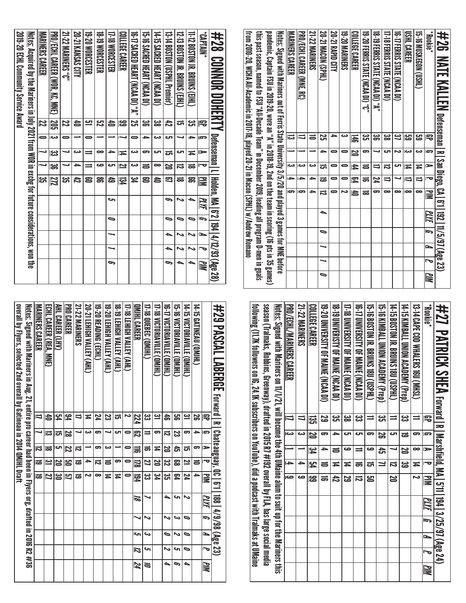| from 2010-20, WCHA All-Academic in 2017-18, played 20-21 in Maceu (SPHL) w/Andrew Romano | this past season, named to FSU "All-December 2019, leading all program D-men in goals | pandemic, Captain FSU in 2019-20, wore an "A" in 2008-19, 2nd on the team in scoring (16 pts in 35 games) | <u>Notes:</u> Signed with Mariners out of Ferris State University 3/5/20 and played 3 games for MNE before | <b>MARINERS CAREER</b>   | PRO/ECHL CAREER (MNF. RC) | <b>21-22 MARINERS</b> | <b>20-21 MACDN (SPHL)</b> | 20-21 RAPID CITY | <b>19-20 MARINERS</b> | <b>COLLEGE CAREER</b> | 19-20 FERRIS STATE (NCAA DI) "C" | 18-19 FERRIS STATE (NCAA DI) "A" | 17-18 EERRIS STATE (NCAA DI) | <b>10-17 HERRIS STATE (NORA DI)</b> | <b>USHL CAREER</b> | tp.muskeshCon.com | <b>FROOKie</b> | <b>#26 NATE KALLEN</b> Defensenan   R   San Diego, CA   671   192   11/5/97 (Age 23) |
|------------------------------------------------------------------------------------------|---------------------------------------------------------------------------------------|-----------------------------------------------------------------------------------------------------------|------------------------------------------------------------------------------------------------------------|--------------------------|---------------------------|-----------------------|---------------------------|------------------|-----------------------|-----------------------|----------------------------------|----------------------------------|------------------------------|-------------------------------------|--------------------|-------------------|----------------|--------------------------------------------------------------------------------------|
|                                                                                          |                                                                                       |                                                                                                           |                                                                                                            | ಹ                        |                           | $\equiv$              | Σ,                        | 5                | دے                    | 磊                     | یب<br>ان                         | ఴౢ                               | జ                            | یے                                  | සු                 | <mark>ය</mark>    | 雩              |                                                                                      |
|                                                                                          |                                                                                       |                                                                                                           |                                                                                                            |                          |                           |                       | ∼                         |                  |                       | N                     | 5                                |                                  | ص                            |                                     | دے                 | دے                | ā              |                                                                                      |
|                                                                                          |                                                                                       |                                                                                                           |                                                                                                            | دے                       | دے                        | دت                    | ದ                         |                  |                       | 44                    | $\equiv$                         | $\overline{\phantom{0}}$         | ವ                            | లా                                  | Ħ                  | Ħ                 |                |                                                                                      |
|                                                                                          |                                                                                       |                                                                                                           |                                                                                                            | $\overline{\phantom{a}}$ |                           | -                     | ಹ                         | 0                |                       | ይ                     | ಕ                                | 74                               | $\equiv$                     |                                     | $\Rightarrow$      | $\Rightarrow$     |                |                                                                                      |
|                                                                                          |                                                                                       |                                                                                                           |                                                                                                            | ౚ                        | 5                         | ٠                     | ವ                         |                  | N                     | 4                     | ಹ                                | 5                                | ∞                            | ∞                                   | œ                  | ∞                 | ≧              |                                                                                      |
|                                                                                          |                                                                                       |                                                                                                           |                                                                                                            |                          |                           |                       | ▲                         |                  |                       |                       |                                  |                                  |                              |                                     |                    |                   | PLYF           |                                                                                      |
|                                                                                          |                                                                                       |                                                                                                           |                                                                                                            |                          |                           |                       | 0                         |                  |                       |                       |                                  |                                  |                              |                                     |                    |                   | Ī.             |                                                                                      |
|                                                                                          |                                                                                       |                                                                                                           |                                                                                                            |                          |                           |                       |                           |                  |                       |                       |                                  |                                  |                              |                                     |                    |                   | N              |                                                                                      |
|                                                                                          |                                                                                       |                                                                                                           |                                                                                                            |                          |                           |                       |                           |                  |                       |                       |                                  |                                  |                              |                                     |                    |                   |                |                                                                                      |
|                                                                                          |                                                                                       |                                                                                                           |                                                                                                            |                          |                           |                       | $\overline{\phantom{0}}$  |                  |                       |                       |                                  |                                  |                              |                                     |                    |                   | WМ             |                                                                                      |

| \$2\$ CONNOR DOHLENTY Defenseman LI Holden, MA 16'2 194 14/12/93 (Age 28)                                |                         |                      |                          |                         |            |    |        |   |                     |    |
|----------------------------------------------------------------------------------------------------------|-------------------------|----------------------|--------------------------|-------------------------|------------|----|--------|---|---------------------|----|
| "NNJ4V).                                                                                                 | 宅                       | Ģ                    | $\Rightarrow$            | Ō                       | ≧          | MИ | b<br>a | ≃ | $\bar{\phantom{a}}$ | WМ |
| 11-12 BOSTON JR. BRUINS (FIHL)                                                                           | ಜ                       | ∸                    | ≖                        | ಹ                       | ສ          |    |        |   | ∾                   |    |
| 12-53 BOSLOM BRONNS (E)HU)                                                                               | ದ                       |                      | ى                        | ನ                       | ಹ          |    | 0      |   |                     | ▵  |
| 13-14 BOSTON (USPHL Premier)                                                                             | 42                      | دے                   | ದ                        | N                       | ౩          | G  |        | ┶ |                     | P  |
| <b>14-1: SACRED HEARL OCAA DI)</b>                                                                       | జ                       | دے                   | ای                       | œ                       | 合          |    |        |   |                     |    |
| 15-16 SACRED HEART (NCAA DI)                                                                             | ఴ                       | →                    | 5                        | 5                       | පු         |    |        |   |                     |    |
| 16-17 SACRED HENRI (NCAN OI), "A"                                                                        | $\overline{\mathbf{z}}$ | 0                    | دے                       | دى                      | <u>ين</u>  |    |        |   |                     |    |
| COLLEGE CAREER                                                                                           | සි                      |                      | Ħ                        | Ľ                       | 钧          |    |        |   |                     |    |
| 17-18 WORCESTER                                                                                          | ð                       |                      | →                        | ى                       | සි         | حہ | 0      |   |                     | P  |
| <b>18-19 WORCESTER</b>                                                                                   | <u>بي</u>               |                      | ∞                        | صه                      | ຘ          |    |        |   |                     |    |
| 19-20 WORCESTER                                                                                          | <u>س</u>                | 0                    | $\equiv$                 | $\equiv$                | ළ          |    |        |   |                     |    |
| 20-21 KANSAS CITY                                                                                        | ð                       |                      | دى                       | →                       | 42         |    |        |   |                     |    |
| <b>21-22 MARINERS "C"</b>                                                                                | 22                      | 0                    | ┙                        |                         | یب<br>آگ   |    |        |   |                     |    |
| PRO/ECHL CAREER (WOR, KC, MNE)                                                                           | 205                     | ಹ                    | ಜ                        | $\overline{\mathbf{g}}$ | <u>272</u> |    |        |   |                     |    |
| <b>MARINERS CAREER</b>                                                                                   | 22                      | $\overline{\bullet}$ | $\overline{\phantom{a}}$ |                         | ಜ          |    |        |   |                     |    |
| <u>Notes:</u> Acquired by the Mariners in July 2021 from WOR in exchg for future considerations, won the |                         |                      |                          |                         |            |    |        |   |                     |    |
| 2019-20 ECHL Community Service Award                                                                     |                         |                      |                          |                         |            |    |        |   |                     |    |

| tolowing (117 x ollowers on De, 24.1 x subscribers on YouTube), aid a podcasst with Tralmaks at U Maine | sesson (Tralmaks, Robinins, Greenway), trafted in 2015 R7 #192 overall by FLA, has large social media | <u>Notes:</u> Signed with Mariners changes alum to suit up the 4th UMaine alum to suit up for the Mariners this | <b>PRO/ECHL/MARINERS CAREER</b> | <b>21-22 MARINERS</b> | COLLEGE CAREER | 19-20 UNIVERSITY OF MAINE (NCAA DI) | 18 - 19 NIVERISTY DE MAINE (NCAA DI) | 17-18 DNNERSITY OF MAINE (NCAA DI) | 16-17 UNIVERSITY OF MANNE (NCAA DI) | 15-16 BOSTON JR. BRUINS 180 (USPHL)<br>= | 15-16 MINATI UNION ACADEMY (Prep) | 14-tp 80210N SRONNS 1800 (USPHL) | 14-51 NIMBALL ONION ACADEMY (Area) | 13.14 CAPE COD WHALERS 160 (MHSL) | <b>Rookie</b> *         | #27 PATRICK SHEA revall a rational malion and 13725/25/2012 (Age 24) |
|---------------------------------------------------------------------------------------------------------|-------------------------------------------------------------------------------------------------------|-----------------------------------------------------------------------------------------------------------------|---------------------------------|-----------------------|----------------|-------------------------------------|--------------------------------------|------------------------------------|-------------------------------------|------------------------------------------|-----------------------------------|----------------------------------|------------------------------------|-----------------------------------|-------------------------|----------------------------------------------------------------------|
|                                                                                                         |                                                                                                       |                                                                                                                 |                                 |                       | ឌូ             | <u>یع</u>                           | دى<br>آل                             | జ                                  | ట                                   |                                          | دە<br>س                           | =                                | دى<br>د                            |                                   | 雩                       |                                                                      |
|                                                                                                         |                                                                                                       |                                                                                                                 | دى                              |                       |                | 5                                   | ≏                                    | cл                                 | cл                                  | ౚ                                        | ಜ                                 | రా                               | ಹ                                  | ౼                                 | G                       |                                                                      |
|                                                                                                         |                                                                                                       |                                                                                                                 |                                 |                       | ي<br>ح         | 与                                   | $\equiv$                             | حه                                 | $\equiv$                            | ده                                       | đ                                 |                                  | N                                  | ∞                                 | $\Rightarrow$           |                                                                      |
|                                                                                                         |                                                                                                       |                                                                                                                 | $\rightarrow$                   |                       | <u>بہ</u>      | ಕ                                   | Ħ                                    | ≖                                  | ಕ                                   | ದ                                        | <u>ו</u>                          | ದ                                | ಜ                                  | Ħ                                 | ᅮ                       |                                                                      |
|                                                                                                         |                                                                                                       |                                                                                                                 | ص                               | صه                    | န္မ            | ಕ                                   | 42                                   | ಜ                                  | ದ                                   | ഋ                                        |                                   | 20                               |                                    | N                                 | $\overline{\mathbf{u}}$ |                                                                      |
|                                                                                                         |                                                                                                       |                                                                                                                 |                                 |                       |                |                                     |                                      |                                    |                                     |                                          |                                   |                                  |                                    |                                   | MИ                      |                                                                      |
|                                                                                                         |                                                                                                       |                                                                                                                 |                                 |                       |                |                                     |                                      |                                    |                                     |                                          |                                   |                                  |                                    |                                   | $\overline{5}$          |                                                                      |
|                                                                                                         |                                                                                                       |                                                                                                                 |                                 |                       |                |                                     |                                      |                                    |                                     |                                          |                                   |                                  |                                    |                                   | N                       |                                                                      |
|                                                                                                         |                                                                                                       |                                                                                                                 |                                 |                       |                |                                     |                                      |                                    |                                     |                                          |                                   |                                  |                                    |                                   |                         |                                                                      |
|                                                                                                         |                                                                                                       |                                                                                                                 |                                 |                       |                |                                     |                                      |                                    |                                     |                                          |                                   |                                  |                                    |                                   | МM                      |                                                                      |

| #29 PASCAL LABERGE relearn research LABERGE release                                                             |                          |    |    |           |          |                               |    |    |                     |     |
|-----------------------------------------------------------------------------------------------------------------|--------------------------|----|----|-----------|----------|-------------------------------|----|----|---------------------|-----|
|                                                                                                                 | 공                        | s  | ⋗  |           | ĬΜ       | 188   4/9/98 (Age 23)<br>PLYF | G  | ►  | $\bar{\phantom{a}}$ | PIM |
| 14-15 GATINEAU (QMHL)                                                                                           | န္တ                      | ≏  | 5  | $\equiv$  | 4        |                               |    |    |                     |     |
| 14-15 VICTORIAVILLE (OMJHL)                                                                                     | یے                       | 5  | ದ  | 2         | 74       | N                             | ∍  | ∍  | ธ                   | ▵   |
| 15-16 VICTORIAVILIE (QMJHL)                                                                                     | ട്ട                      | ಜ  | đ  | జై        | 54       | حہ                            | دے | N  | حہ                  | c,  |
| 16-17 VICTORIAVILLE (QMJHL)                                                                                     | å                        | ನ  | N  | <u>ین</u> | یب<br>ات | ▲                             | N  | ∍  | N                   |     |
| 17-18 VICTORIAVILLE (QMJHL)                                                                                     | <u>يە</u>                | 5  | Ħ  | 20        | ین<br>4  |                               |    |    |                     |     |
| T-18 QUEBEC (QMHL)                                                                                              | دے<br>دے                 | ⋍  | ಹ  | 2         | دى<br>ئ  |                               | N  | دە | s                   | ă   |
| QMJHL CAREER                                                                                                    | 224                      | 閃  | 冨  | 딣         | 184      | 70                            |    | حا | Z                   | 74  |
| <b>17-18 LEHIGH VALLEY (AHL)</b>                                                                                | Z                        | 0  |    |           |          |                               |    |    |                     |     |
| <b>18-19 LEHIGH VALLEY (AHL)</b>                                                                                | ದ                        | ౮  |    | 5         | Ħ        |                               |    |    |                     |     |
| 19-20 LEHIGH VALLEY (AHL)                                                                                       | ಜ                        |    | دى | ᇹ         | Ħ        |                               |    |    |                     |     |
| 19-20 READING (ECHL)                                                                                            | 74                       | 5  | 5  | ನ         | ∞        |                               |    |    |                     |     |
| 20-21 LEHIGH VALLEY (AHL)                                                                                       | ≍                        | دے |    | ≏         | N        |                               |    |    |                     |     |
| <b>21-22 MARINERS</b>                                                                                           |                          |    | ನ  | ಹ         | ಹ        |                               |    |    |                     |     |
| PRO CAREER                                                                                                      | 94                       | 29 | 72 | မြိ       | 5        |                               |    |    |                     |     |
| AHL CAREER (LHV)                                                                                                | 54                       | ದ  | ال | 20        | ఴ        |                               |    |    |                     |     |
| <b>ECHI CARER (REA, MNE)</b>                                                                                    | 15                       | ದ  | ಹ  | <u>س</u>  | 27       |                               |    |    |                     |     |
| MARINERS CAREER                                                                                                 | $\overline{\phantom{0}}$ |    | И  | ಡ         | ಹ        |                               |    |    |                     |     |
| <u>Notes:</u> Signed with Mariners in Aug. 21, entire pro career had been in Flyers org, drafted in 2016 R2 #36 |                          |    |    |           |          |                               |    |    |                     |     |
| overall by Flyers, selected 2nd overall by Gatineau in 2014 QMJHL Draft                                         |                          |    |    |           |          |                               |    |    |                     |     |